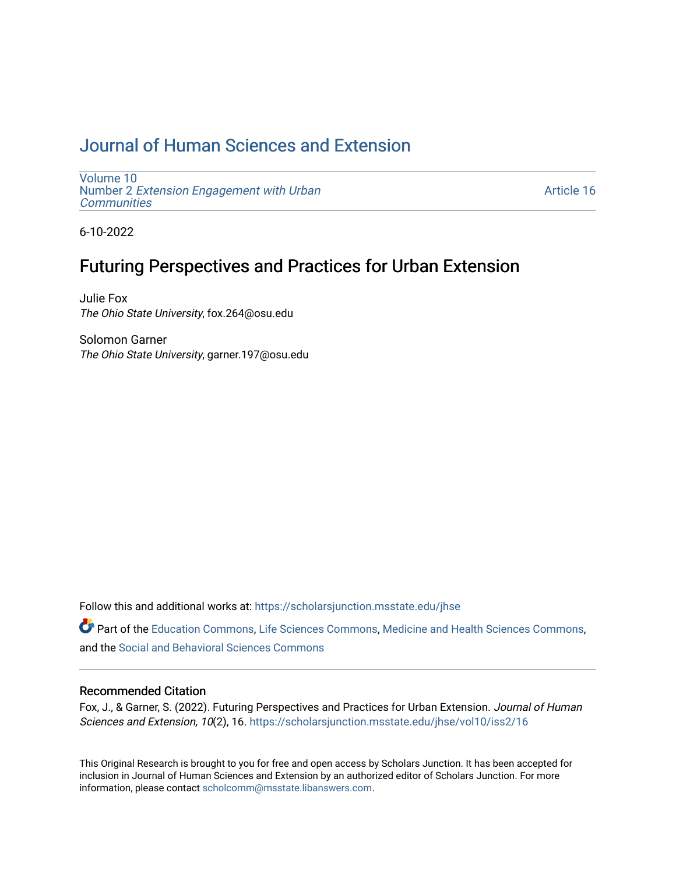# [Journal of Human Sciences and Extension](https://scholarsjunction.msstate.edu/jhse)

[Volume 10](https://scholarsjunction.msstate.edu/jhse/vol10) Number 2 [Extension Engagement with Urban](https://scholarsjunction.msstate.edu/jhse/vol10/iss2) **[Communities](https://scholarsjunction.msstate.edu/jhse/vol10/iss2)** 

[Article 16](https://scholarsjunction.msstate.edu/jhse/vol10/iss2/16) 

6-10-2022

# Futuring Perspectives and Practices for Urban Extension

Julie Fox The Ohio State University, fox.264@osu.edu

Solomon Garner The Ohio State University, garner.197@osu.edu

Follow this and additional works at: [https://scholarsjunction.msstate.edu/jhse](https://scholarsjunction.msstate.edu/jhse?utm_source=scholarsjunction.msstate.edu%2Fjhse%2Fvol10%2Fiss2%2F16&utm_medium=PDF&utm_campaign=PDFCoverPages)

Part of the [Education Commons](https://network.bepress.com/hgg/discipline/784?utm_source=scholarsjunction.msstate.edu%2Fjhse%2Fvol10%2Fiss2%2F16&utm_medium=PDF&utm_campaign=PDFCoverPages), [Life Sciences Commons](https://network.bepress.com/hgg/discipline/1016?utm_source=scholarsjunction.msstate.edu%2Fjhse%2Fvol10%2Fiss2%2F16&utm_medium=PDF&utm_campaign=PDFCoverPages), [Medicine and Health Sciences Commons](https://network.bepress.com/hgg/discipline/648?utm_source=scholarsjunction.msstate.edu%2Fjhse%2Fvol10%2Fiss2%2F16&utm_medium=PDF&utm_campaign=PDFCoverPages), and the [Social and Behavioral Sciences Commons](https://network.bepress.com/hgg/discipline/316?utm_source=scholarsjunction.msstate.edu%2Fjhse%2Fvol10%2Fiss2%2F16&utm_medium=PDF&utm_campaign=PDFCoverPages) 

#### Recommended Citation

Fox, J., & Garner, S. (2022). Futuring Perspectives and Practices for Urban Extension. Journal of Human Sciences and Extension, 10(2), 16. [https://scholarsjunction.msstate.edu/jhse/vol10/iss2/16](https://scholarsjunction.msstate.edu/jhse/vol10/iss2/16?utm_source=scholarsjunction.msstate.edu%2Fjhse%2Fvol10%2Fiss2%2F16&utm_medium=PDF&utm_campaign=PDFCoverPages) 

This Original Research is brought to you for free and open access by Scholars Junction. It has been accepted for inclusion in Journal of Human Sciences and Extension by an authorized editor of Scholars Junction. For more information, please contact [scholcomm@msstate.libanswers.com](mailto:scholcomm@msstate.libanswers.com).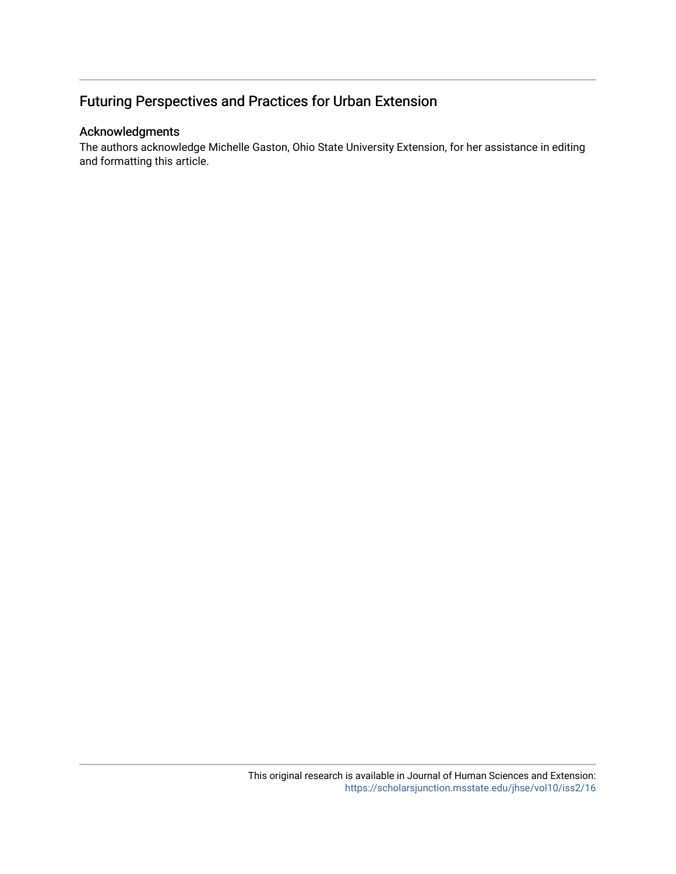# Futuring Perspectives and Practices for Urban Extension

#### Acknowledgments

The authors acknowledge Michelle Gaston, Ohio State University Extension, for her assistance in editing and formatting this article.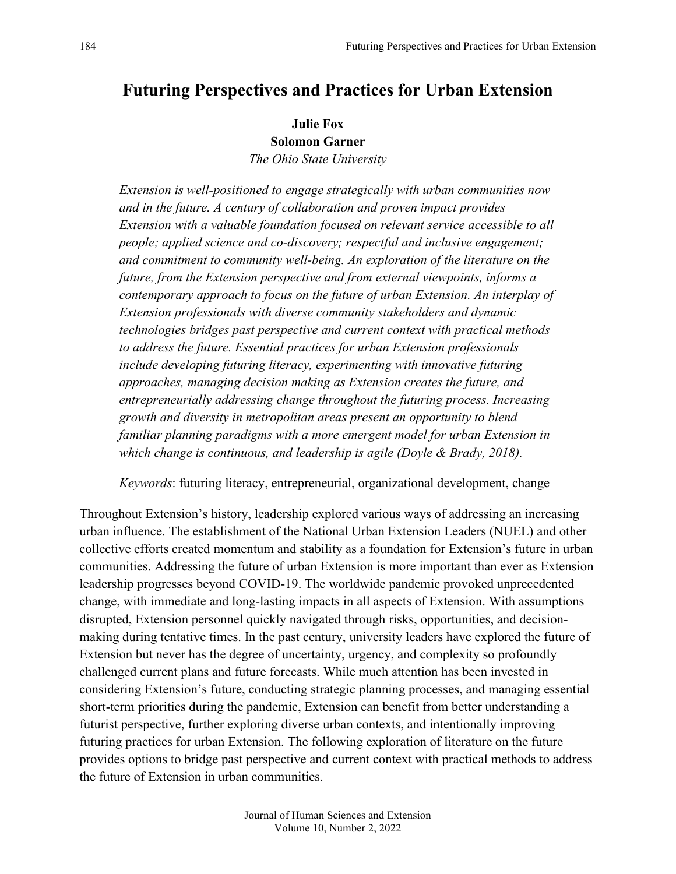# **Futuring Perspectives and Practices for Urban Extension**

**Julie Fox**

**Solomon Garner**

*The Ohio State University*

*Extension is well-positioned to engage strategically with urban communities now and in the future. A century of collaboration and proven impact provides Extension with a valuable foundation focused on relevant service accessible to all people; applied science and co-discovery; respectful and inclusive engagement; and commitment to community well-being. An exploration of the literature on the future, from the Extension perspective and from external viewpoints, informs a contemporary approach to focus on the future of urban Extension. An interplay of Extension professionals with diverse community stakeholders and dynamic technologies bridges past perspective and current context with practical methods to address the future. Essential practices for urban Extension professionals include developing futuring literacy, experimenting with innovative futuring approaches, managing decision making as Extension creates the future, and entrepreneurially addressing change throughout the futuring process. Increasing growth and diversity in metropolitan areas present an opportunity to blend familiar planning paradigms with a more emergent model for urban Extension in which change is continuous, and leadership is agile (Doyle & Brady, 2018).* 

*Keywords*: futuring literacy, entrepreneurial, organizational development, change

Throughout Extension's history, leadership explored various ways of addressing an increasing urban influence. The establishment of the National Urban Extension Leaders (NUEL) and other collective efforts created momentum and stability as a foundation for Extension's future in urban communities. Addressing the future of urban Extension is more important than ever as Extension leadership progresses beyond COVID-19. The worldwide pandemic provoked unprecedented change, with immediate and long-lasting impacts in all aspects of Extension. With assumptions disrupted, Extension personnel quickly navigated through risks, opportunities, and decisionmaking during tentative times. In the past century, university leaders have explored the future of Extension but never has the degree of uncertainty, urgency, and complexity so profoundly challenged current plans and future forecasts. While much attention has been invested in considering Extension's future, conducting strategic planning processes, and managing essential short-term priorities during the pandemic, Extension can benefit from better understanding a futurist perspective, further exploring diverse urban contexts, and intentionally improving futuring practices for urban Extension. The following exploration of literature on the future provides options to bridge past perspective and current context with practical methods to address the future of Extension in urban communities.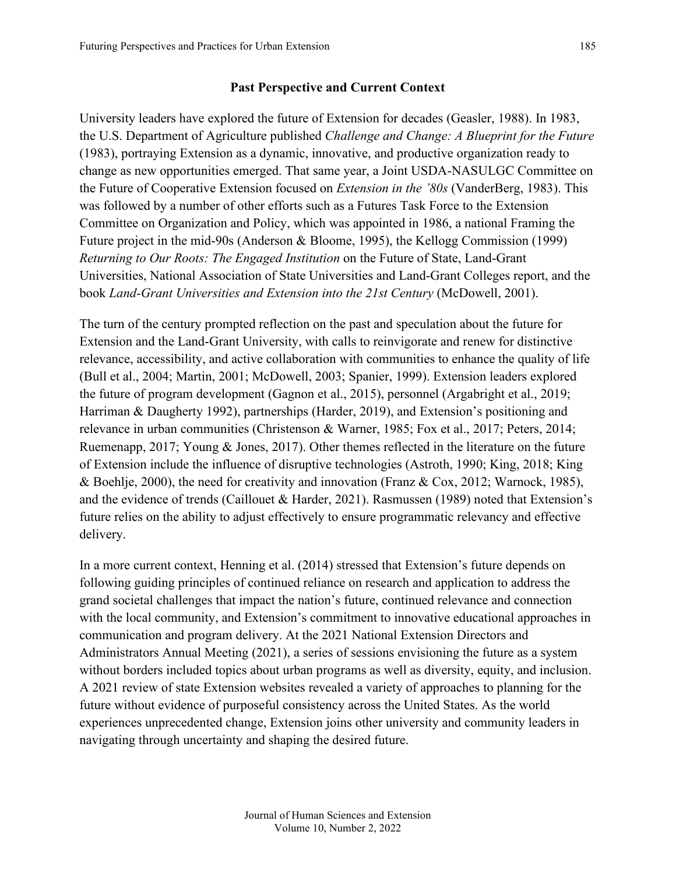#### **Past Perspective and Current Context**

University leaders have explored the future of Extension for decades (Geasler, 1988). In 1983, the U.S. Department of Agriculture published *Challenge and Change: A Blueprint for the Future* (1983), portraying Extension as a dynamic, innovative, and productive organization ready to change as new opportunities emerged. That same year, a Joint USDA-NASULGC Committee on the Future of Cooperative Extension focused on *Extension in the '80s* (VanderBerg, 1983). This was followed by a number of other efforts such as a Futures Task Force to the Extension Committee on Organization and Policy, which was appointed in 1986, a national Framing the Future project in the mid-90s (Anderson & Bloome, 1995), the Kellogg Commission (1999) *Returning to Our Roots: The Engaged Institution* on the Future of State, Land-Grant Universities, National Association of State Universities and Land-Grant Colleges report, and the book *Land-Grant Universities and Extension into the 21st Century* (McDowell, 2001).

The turn of the century prompted reflection on the past and speculation about the future for Extension and the Land-Grant University, with calls to reinvigorate and renew for distinctive relevance, accessibility, and active collaboration with communities to enhance the quality of life (Bull et al., 2004; Martin, 2001; McDowell, 2003; Spanier, 1999). Extension leaders explored the future of program development (Gagnon et al., 2015), personnel (Argabright et al., 2019; Harriman & Daugherty 1992), partnerships (Harder, 2019), and Extension's positioning and relevance in urban communities (Christenson & Warner, 1985; Fox et al., 2017; Peters, 2014; Ruemenapp, 2017; Young & Jones, 2017). Other themes reflected in the literature on the future of Extension include the influence of disruptive technologies (Astroth, 1990; King, 2018; King & Boehlje, 2000), the need for creativity and innovation (Franz & Cox, 2012; Warnock, 1985), and the evidence of trends (Caillouet & Harder, 2021). Rasmussen (1989) noted that Extension's future relies on the ability to adjust effectively to ensure programmatic relevancy and effective delivery.

In a more current context, Henning et al. (2014) stressed that Extension's future depends on following guiding principles of continued reliance on research and application to address the grand societal challenges that impact the nation's future, continued relevance and connection with the local community, and Extension's commitment to innovative educational approaches in communication and program delivery. At the 2021 National Extension Directors and Administrators Annual Meeting (2021), a series of sessions envisioning the future as a system without borders included topics about urban programs as well as diversity, equity, and inclusion. A 2021 review of state Extension websites revealed a variety of approaches to planning for the future without evidence of purposeful consistency across the United States. As the world experiences unprecedented change, Extension joins other university and community leaders in navigating through uncertainty and shaping the desired future.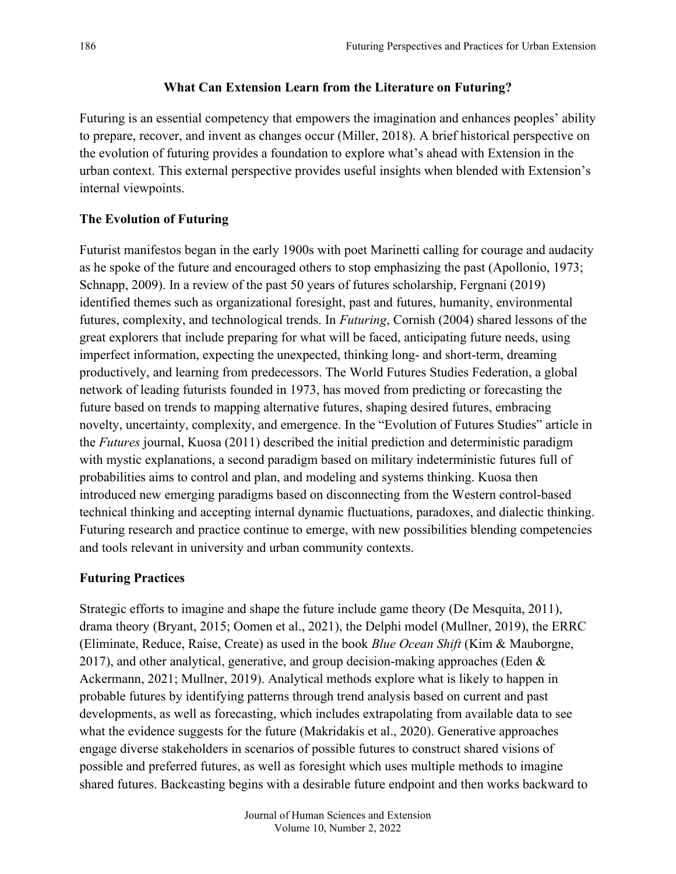### **What Can Extension Learn from the Literature on Futuring?**

Futuring is an essential competency that empowers the imagination and enhances peoples' ability to prepare, recover, and invent as changes occur (Miller, 2018). A brief historical perspective on the evolution of futuring provides a foundation to explore what's ahead with Extension in the urban context. This external perspective provides useful insights when blended with Extension's internal viewpoints.

# **The Evolution of Futuring**

Futurist manifestos began in the early 1900s with poet Marinetti calling for courage and audacity as he spoke of the future and encouraged others to stop emphasizing the past (Apollonio, 1973; Schnapp, 2009). In a review of the past 50 years of futures scholarship, Fergnani (2019) identified themes such as organizational foresight, past and futures, humanity, environmental futures, complexity, and technological trends. In *Futuring*, Cornish (2004) shared lessons of the great explorers that include preparing for what will be faced, anticipating future needs, using imperfect information, expecting the unexpected, thinking long- and short-term, dreaming productively, and learning from predecessors. The World Futures Studies Federation, a global network of leading futurists founded in 1973, has moved from predicting or forecasting the future based on trends to mapping alternative futures, shaping desired futures, embracing novelty, uncertainty, complexity, and emergence. In the "Evolution of Futures Studies" article in the *Futures* journal, Kuosa (2011) described the initial prediction and deterministic paradigm with mystic explanations, a second paradigm based on military indeterministic futures full of probabilities aims to control and plan, and modeling and systems thinking. Kuosa then introduced new emerging paradigms based on disconnecting from the Western control-based technical thinking and accepting internal dynamic fluctuations, paradoxes, and dialectic thinking. Futuring research and practice continue to emerge, with new possibilities blending competencies and tools relevant in university and urban community contexts.

# **Futuring Practices**

Strategic efforts to imagine and shape the future include game theory (De Mesquita, 2011), drama theory (Bryant, 2015; Oomen et al., 2021), the Delphi model (Mullner, 2019), the ERRC (Eliminate, Reduce, Raise, Create) as used in the book *Blue Ocean Shift* (Kim & Mauborgne, 2017), and other analytical, generative, and group decision-making approaches (Eden  $\&$ Ackermann, 2021; Mullner, 2019). Analytical methods explore what is likely to happen in probable futures by identifying patterns through trend analysis based on current and past developments, as well as forecasting, which includes extrapolating from available data to see what the evidence suggests for the future (Makridakis et al., 2020). Generative approaches engage diverse stakeholders in scenarios of possible futures to construct shared visions of possible and preferred futures, as well as foresight which uses multiple methods to imagine shared futures. Backcasting begins with a desirable future endpoint and then works backward to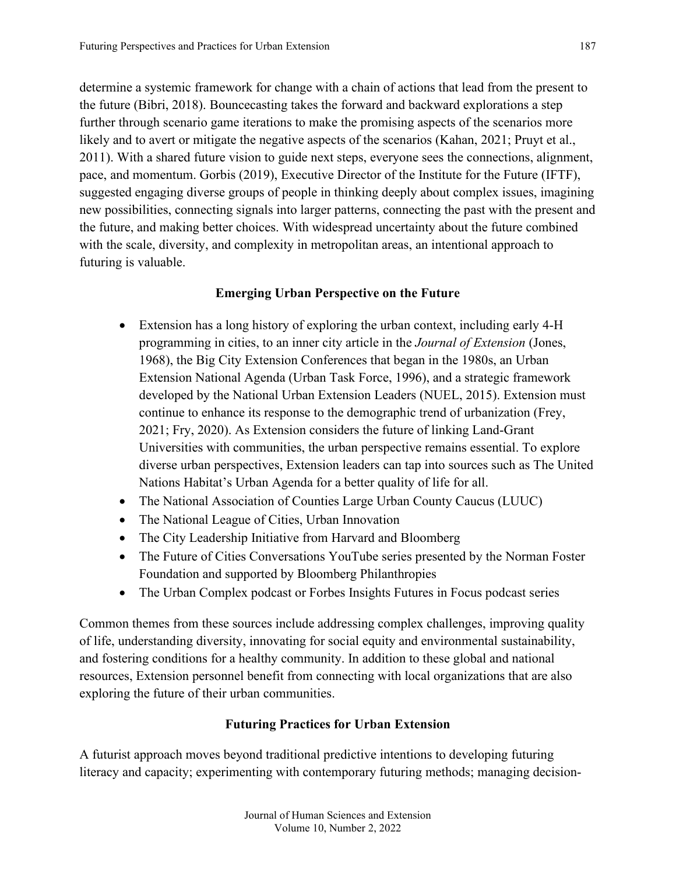determine a systemic framework for change with a chain of actions that lead from the present to the future (Bibri, 2018). Bouncecasting takes the forward and backward explorations a step further through scenario game iterations to make the promising aspects of the scenarios more likely and to avert or mitigate the negative aspects of the scenarios (Kahan, 2021; Pruyt et al., 2011). With a shared future vision to guide next steps, everyone sees the connections, alignment, pace, and momentum. Gorbis (2019), Executive Director of the Institute for the Future (IFTF), suggested engaging diverse groups of people in thinking deeply about complex issues, imagining new possibilities, connecting signals into larger patterns, connecting the past with the present and the future, and making better choices. With widespread uncertainty about the future combined with the scale, diversity, and complexity in metropolitan areas, an intentional approach to futuring is valuable.

### **Emerging Urban Perspective on the Future**

- Extension has a long history of exploring the urban context, including early 4-H programming in cities, to an inner city article in the *Journal of Extension* (Jones, 1968), the Big City Extension Conferences that began in the 1980s, an Urban Extension National Agenda (Urban Task Force, 1996), and a strategic framework developed by the National Urban Extension Leaders (NUEL, 2015). Extension must continue to enhance its response to the demographic trend of urbanization (Frey, 2021; Fry, 2020). As Extension considers the future of linking Land-Grant Universities with communities, the urban perspective remains essential. To explore diverse urban perspectives, Extension leaders can tap into sources such as The United Nations Habitat's Urban Agenda for a better quality of life for all.
- The National Association of Counties Large Urban County Caucus (LUUC)
- The National League of Cities, Urban Innovation
- The City Leadership Initiative from Harvard and Bloomberg
- The Future of Cities Conversations YouTube series presented by the Norman Foster Foundation and supported by Bloomberg Philanthropies
- The Urban Complex podcast or Forbes Insights Futures in Focus podcast series

Common themes from these sources include addressing complex challenges, improving quality of life, understanding diversity, innovating for social equity and environmental sustainability, and fostering conditions for a healthy community. In addition to these global and national resources, Extension personnel benefit from connecting with local organizations that are also exploring the future of their urban communities.

## **Futuring Practices for Urban Extension**

A futurist approach moves beyond traditional predictive intentions to developing futuring literacy and capacity; experimenting with contemporary futuring methods; managing decision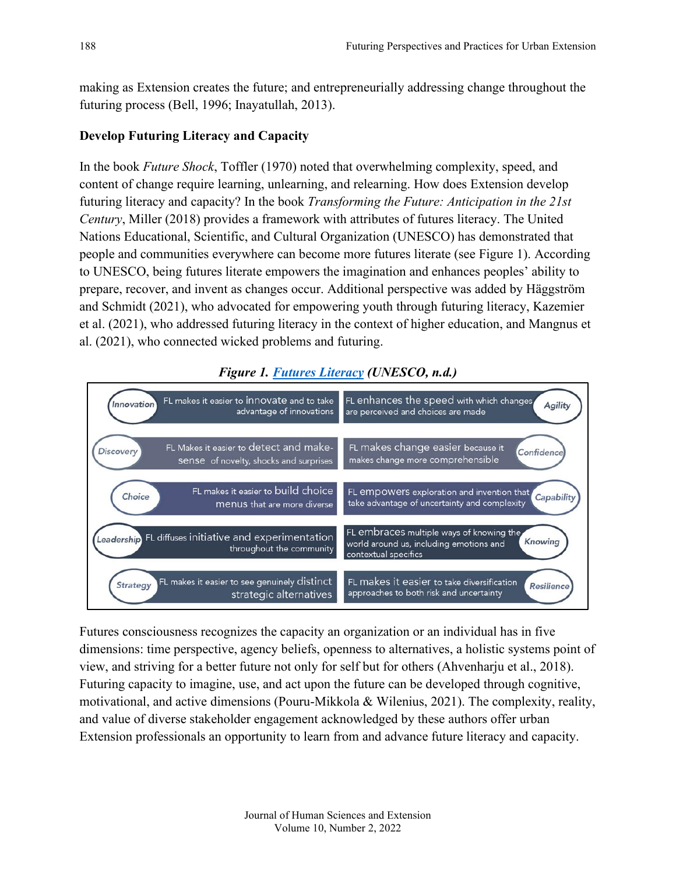making as Extension creates the future; and entrepreneurially addressing change throughout the futuring process (Bell, 1996; Inayatullah, 2013).

### **Develop Futuring Literacy and Capacity**

In the book *Future Shock*, Toffler (1970) noted that overwhelming complexity, speed, and content of change require learning, unlearning, and relearning. How does Extension develop futuring literacy and capacity? In the book *Transforming the Future: Anticipation in the 21st Century*, Miller (2018) provides a framework with attributes of futures literacy. The United Nations Educational, Scientific, and Cultural Organization (UNESCO) has demonstrated that people and communities everywhere can become more futures literate (see Figure 1). According to UNESCO, being futures literate empowers the imagination and enhances peoples' ability to prepare, recover, and invent as changes occur. Additional perspective was added by Häggström and Schmidt (2021), who advocated for empowering youth through futuring literacy, Kazemier et al. (2021), who addressed futuring literacy in the context of higher education, and Mangnus et al. (2021), who connected wicked problems and futuring.



# *Figure 1. [Futures Literacy](https://en.unesco.org/futuresliteracy/about) (UNESCO, n.d.)*

Futures consciousness recognizes the capacity an organization or an individual has in five dimensions: time perspective, agency beliefs, openness to alternatives, a holistic systems point of view, and striving for a better future not only for self but for others (Ahvenharju et al., 2018). Futuring capacity to imagine, use, and act upon the future can be developed through cognitive, motivational, and active dimensions (Pouru-Mikkola & Wilenius, 2021). The complexity, reality, and value of diverse stakeholder engagement acknowledged by these authors offer urban Extension professionals an opportunity to learn from and advance future literacy and capacity.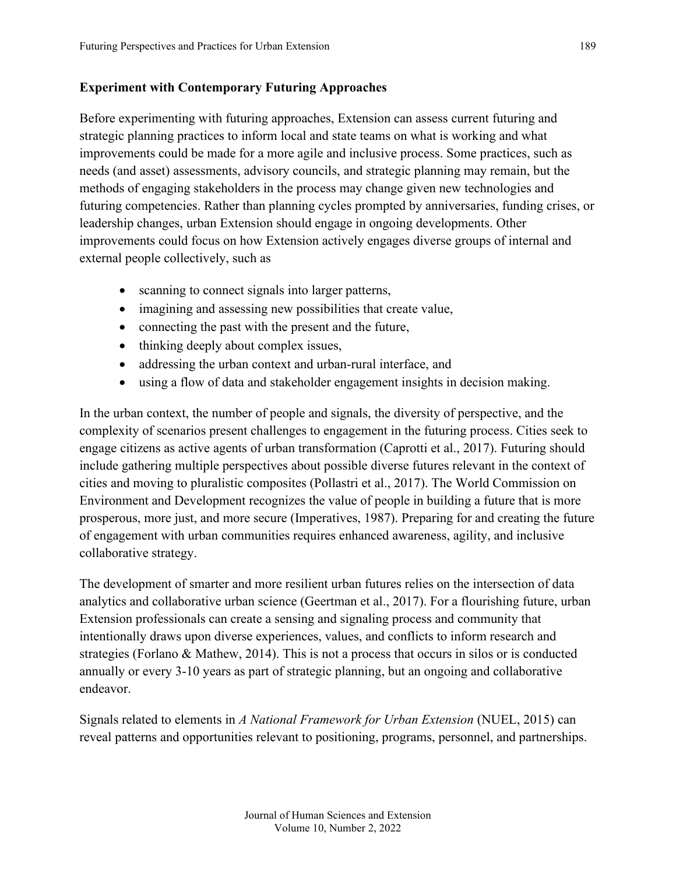### **Experiment with Contemporary Futuring Approaches**

Before experimenting with futuring approaches, Extension can assess current futuring and strategic planning practices to inform local and state teams on what is working and what improvements could be made for a more agile and inclusive process. Some practices, such as needs (and asset) assessments, advisory councils, and strategic planning may remain, but the methods of engaging stakeholders in the process may change given new technologies and futuring competencies. Rather than planning cycles prompted by anniversaries, funding crises, or leadership changes, urban Extension should engage in ongoing developments. Other improvements could focus on how Extension actively engages diverse groups of internal and external people collectively, such as

- scanning to connect signals into larger patterns,
- imagining and assessing new possibilities that create value,
- connecting the past with the present and the future,
- thinking deeply about complex issues,
- addressing the urban context and urban-rural interface, and
- using a flow of data and stakeholder engagement insights in decision making.

In the urban context, the number of people and signals, the diversity of perspective, and the complexity of scenarios present challenges to engagement in the futuring process. Cities seek to engage citizens as active agents of urban transformation (Caprotti et al., 2017). Futuring should include gathering multiple perspectives about possible diverse futures relevant in the context of cities and moving to pluralistic composites (Pollastri et al., 2017). The World Commission on Environment and Development recognizes the value of people in building a future that is more prosperous, more just, and more secure (Imperatives, 1987). Preparing for and creating the future of engagement with urban communities requires enhanced awareness, agility, and inclusive collaborative strategy.

The development of smarter and more resilient urban futures relies on the intersection of data analytics and collaborative urban science (Geertman et al., 2017). For a flourishing future, urban Extension professionals can create a sensing and signaling process and community that intentionally draws upon diverse experiences, values, and conflicts to inform research and strategies (Forlano & Mathew, 2014). This is not a process that occurs in silos or is conducted annually or every 3-10 years as part of strategic planning, but an ongoing and collaborative endeavor.

Signals related to elements in *A National Framework for Urban Extension* (NUEL, 2015) can reveal patterns and opportunities relevant to positioning, programs, personnel, and partnerships.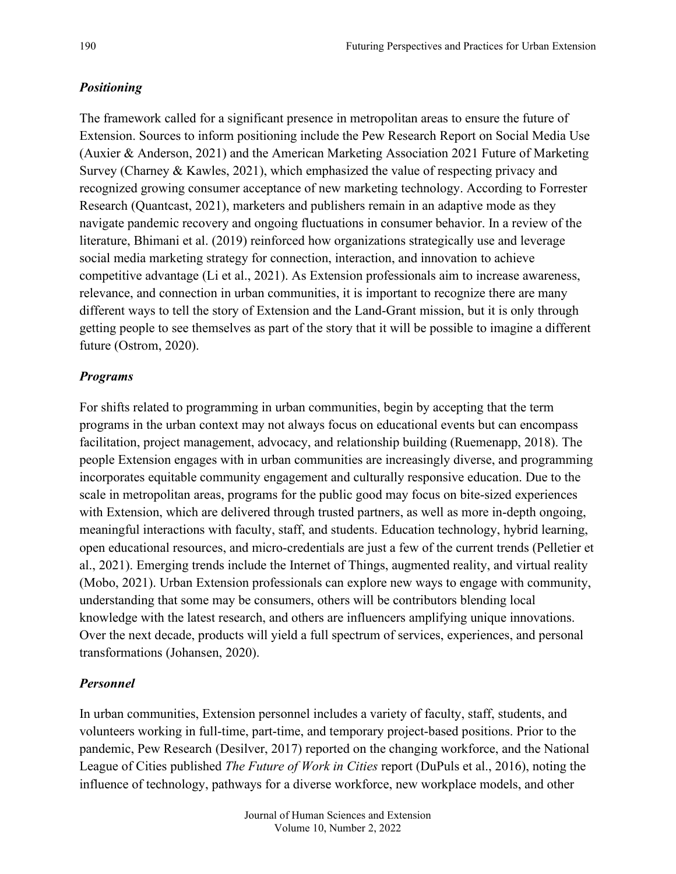### *Positioning*

The framework called for a significant presence in metropolitan areas to ensure the future of Extension. Sources to inform positioning include the Pew Research Report on Social Media Use (Auxier & Anderson, 2021) and the American Marketing Association 2021 Future of Marketing Survey (Charney & Kawles, 2021), which emphasized the value of respecting privacy and recognized growing consumer acceptance of new marketing technology. According to Forrester Research (Quantcast, 2021), marketers and publishers remain in an adaptive mode as they navigate pandemic recovery and ongoing fluctuations in consumer behavior. In a review of the literature, Bhimani et al. (2019) reinforced how organizations strategically use and leverage social media marketing strategy for connection, interaction, and innovation to achieve competitive advantage (Li et al., 2021). As Extension professionals aim to increase awareness, relevance, and connection in urban communities, it is important to recognize there are many different ways to tell the story of Extension and the Land-Grant mission, but it is only through getting people to see themselves as part of the story that it will be possible to imagine a different future (Ostrom, 2020).

#### *Programs*

For shifts related to programming in urban communities, begin by accepting that the term programs in the urban context may not always focus on educational events but can encompass facilitation, project management, advocacy, and relationship building (Ruemenapp, 2018). The people Extension engages with in urban communities are increasingly diverse, and programming incorporates equitable community engagement and culturally responsive education. Due to the scale in metropolitan areas, programs for the public good may focus on bite-sized experiences with Extension, which are delivered through trusted partners, as well as more in-depth ongoing, meaningful interactions with faculty, staff, and students. Education technology, hybrid learning, open educational resources, and micro-credentials are just a few of the current trends (Pelletier et al., 2021). Emerging trends include the Internet of Things, augmented reality, and virtual reality (Mobo, 2021). Urban Extension professionals can explore new ways to engage with community, understanding that some may be consumers, others will be contributors blending local knowledge with the latest research, and others are influencers amplifying unique innovations. Over the next decade, products will yield a full spectrum of services, experiences, and personal transformations (Johansen, 2020).

#### *Personnel*

In urban communities, Extension personnel includes a variety of faculty, staff, students, and volunteers working in full-time, part-time, and temporary project-based positions. Prior to the pandemic, Pew Research (Desilver, 2017) reported on the changing workforce, and the National League of Cities published *The Future of Work in Cities* report (DuPuls et al., 2016), noting the influence of technology, pathways for a diverse workforce, new workplace models, and other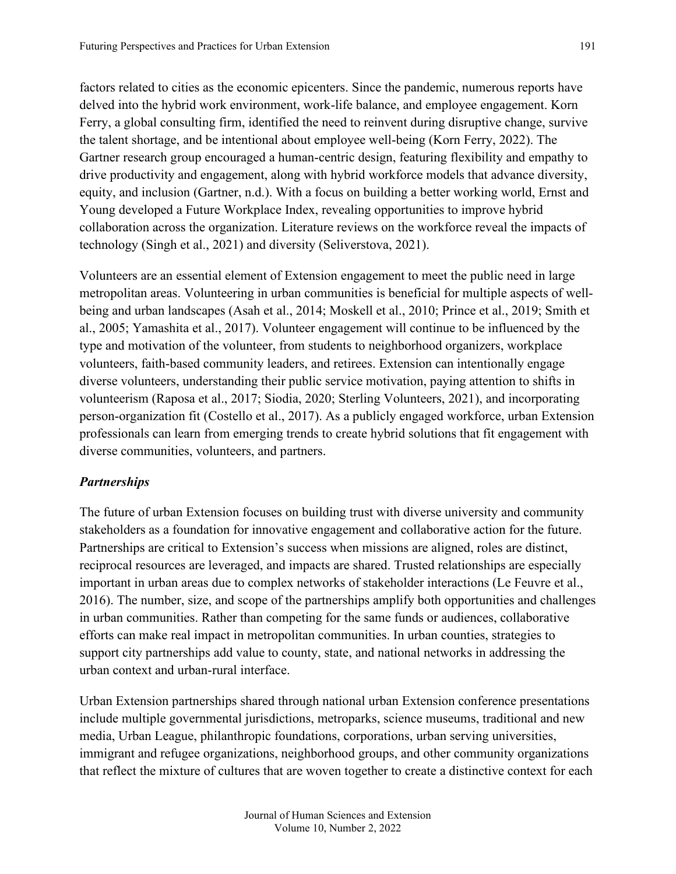factors related to cities as the economic epicenters. Since the pandemic, numerous reports have delved into the hybrid work environment, work-life balance, and employee engagement. Korn Ferry, a global consulting firm, identified the need to reinvent during disruptive change, survive the talent shortage, and be intentional about employee well-being (Korn Ferry, 2022). The Gartner research group encouraged a human-centric design, featuring flexibility and empathy to drive productivity and engagement, along with hybrid workforce models that advance diversity,

equity, and inclusion (Gartner, n.d.). With a focus on building a better working world, Ernst and Young developed a Future Workplace Index, revealing opportunities to improve hybrid collaboration across the organization. Literature reviews on the workforce reveal the impacts of technology (Singh et al., 2021) and diversity (Seliverstova, 2021).

Volunteers are an essential element of Extension engagement to meet the public need in large metropolitan areas. Volunteering in urban communities is beneficial for multiple aspects of wellbeing and urban landscapes (Asah et al., 2014; Moskell et al., 2010; Prince et al., 2019; Smith et al., 2005; Yamashita et al., 2017). Volunteer engagement will continue to be influenced by the type and motivation of the volunteer, from students to neighborhood organizers, workplace volunteers, faith-based community leaders, and retirees. Extension can intentionally engage diverse volunteers, understanding their public service motivation, paying attention to shifts in volunteerism (Raposa et al., 2017; Siodia, 2020; Sterling Volunteers, 2021), and incorporating person-organization fit (Costello et al., 2017). As a publicly engaged workforce, urban Extension professionals can learn from emerging trends to create hybrid solutions that fit engagement with diverse communities, volunteers, and partners.

#### *Partnerships*

The future of urban Extension focuses on building trust with diverse university and community stakeholders as a foundation for innovative engagement and collaborative action for the future. Partnerships are critical to Extension's success when missions are aligned, roles are distinct, reciprocal resources are leveraged, and impacts are shared. Trusted relationships are especially important in urban areas due to complex networks of stakeholder interactions (Le Feuvre et al., 2016). The number, size, and scope of the partnerships amplify both opportunities and challenges in urban communities. Rather than competing for the same funds or audiences, collaborative efforts can make real impact in metropolitan communities. In urban counties, strategies to support city partnerships add value to county, state, and national networks in addressing the urban context and urban-rural interface.

Urban Extension partnerships shared through national urban Extension conference presentations include multiple governmental jurisdictions, metroparks, science museums, traditional and new media, Urban League, philanthropic foundations, corporations, urban serving universities, immigrant and refugee organizations, neighborhood groups, and other community organizations that reflect the mixture of cultures that are woven together to create a distinctive context for each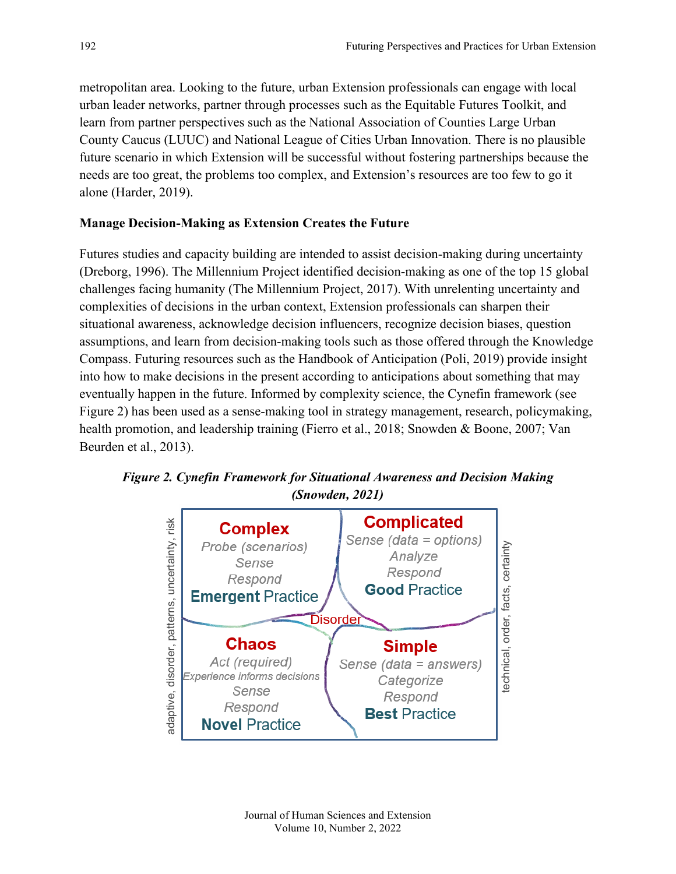metropolitan area. Looking to the future, urban Extension professionals can engage with local urban leader networks, partner through processes such as the Equitable Futures Toolkit, and learn from partner perspectives such as the National Association of Counties Large Urban County Caucus (LUUC) and National League of Cities Urban Innovation. There is no plausible future scenario in which Extension will be successful without fostering partnerships because the needs are too great, the problems too complex, and Extension's resources are too few to go it alone (Harder, 2019).

#### **Manage Decision-Making as Extension Creates the Future**

Futures studies and capacity building are intended to assist decision-making during uncertainty (Dreborg, 1996). The Millennium Project identified decision-making as one of the top 15 global challenges facing humanity (The Millennium Project, 2017). With unrelenting uncertainty and complexities of decisions in the urban context, Extension professionals can sharpen their situational awareness, acknowledge decision influencers, recognize decision biases, question assumptions, and learn from decision-making tools such as those offered through the Knowledge Compass. Futuring resources such as the Handbook of Anticipation (Poli, 2019) provide insight into how to make decisions in the present according to anticipations about something that may eventually happen in the future. Informed by complexity science, the Cynefin framework (see Figure 2) has been used as a sense-making tool in strategy management, research, policymaking, health promotion, and leadership training (Fierro et al., 2018; Snowden & Boone, 2007; Van Beurden et al., 2013).



*Figure 2. Cynefin Framework for Situational Awareness and Decision Making (Snowden, 2021)*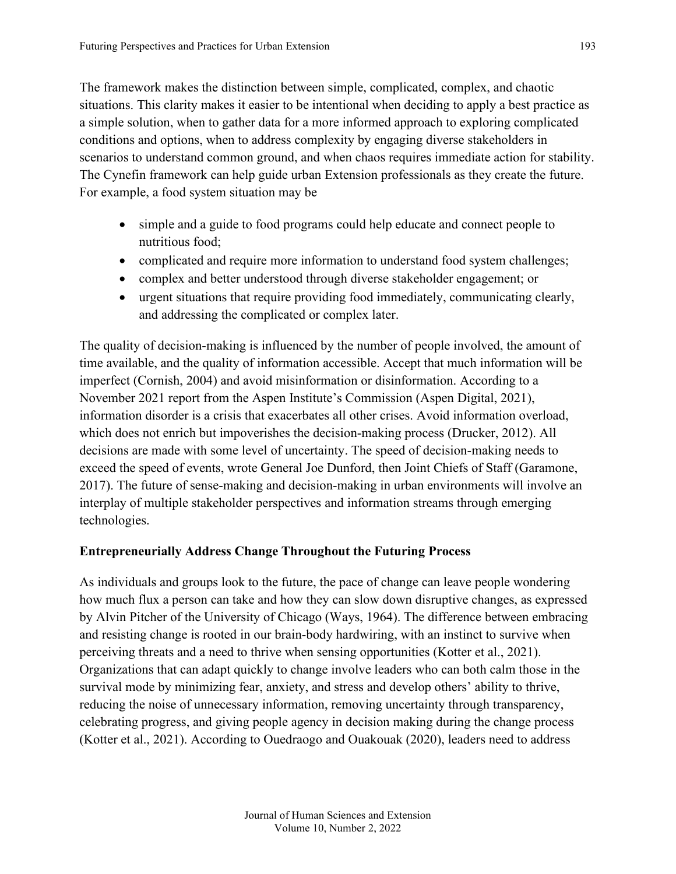The framework makes the distinction between simple, complicated, complex, and chaotic situations. This clarity makes it easier to be intentional when deciding to apply a best practice as a simple solution, when to gather data for a more informed approach to exploring complicated conditions and options, when to address complexity by engaging diverse stakeholders in scenarios to understand common ground, and when chaos requires immediate action for stability. The Cynefin framework can help guide urban Extension professionals as they create the future. For example, a food system situation may be

- simple and a guide to food programs could help educate and connect people to nutritious food;
- complicated and require more information to understand food system challenges;
- complex and better understood through diverse stakeholder engagement; or
- urgent situations that require providing food immediately, communicating clearly, and addressing the complicated or complex later.

The quality of decision-making is influenced by the number of people involved, the amount of time available, and the quality of information accessible. Accept that much information will be imperfect (Cornish, 2004) and avoid misinformation or disinformation. According to a November 2021 report from the Aspen Institute's Commission (Aspen Digital, 2021), information disorder is a crisis that exacerbates all other crises. Avoid information overload, which does not enrich but impoverishes the decision-making process (Drucker, 2012). All decisions are made with some level of uncertainty. The speed of decision-making needs to exceed the speed of events, wrote General Joe Dunford, then Joint Chiefs of Staff (Garamone, 2017). The future of sense-making and decision-making in urban environments will involve an interplay of multiple stakeholder perspectives and information streams through emerging technologies.

#### **Entrepreneurially Address Change Throughout the Futuring Process**

As individuals and groups look to the future, the pace of change can leave people wondering how much flux a person can take and how they can slow down disruptive changes, as expressed by Alvin Pitcher of the University of Chicago (Ways, 1964). The difference between embracing and resisting change is rooted in our brain-body hardwiring, with an instinct to survive when perceiving threats and a need to thrive when sensing opportunities (Kotter et al., 2021). Organizations that can adapt quickly to change involve leaders who can both calm those in the survival mode by minimizing fear, anxiety, and stress and develop others' ability to thrive, reducing the noise of unnecessary information, removing uncertainty through transparency, celebrating progress, and giving people agency in decision making during the change process (Kotter et al., 2021). According to Ouedraogo and Ouakouak (2020), leaders need to address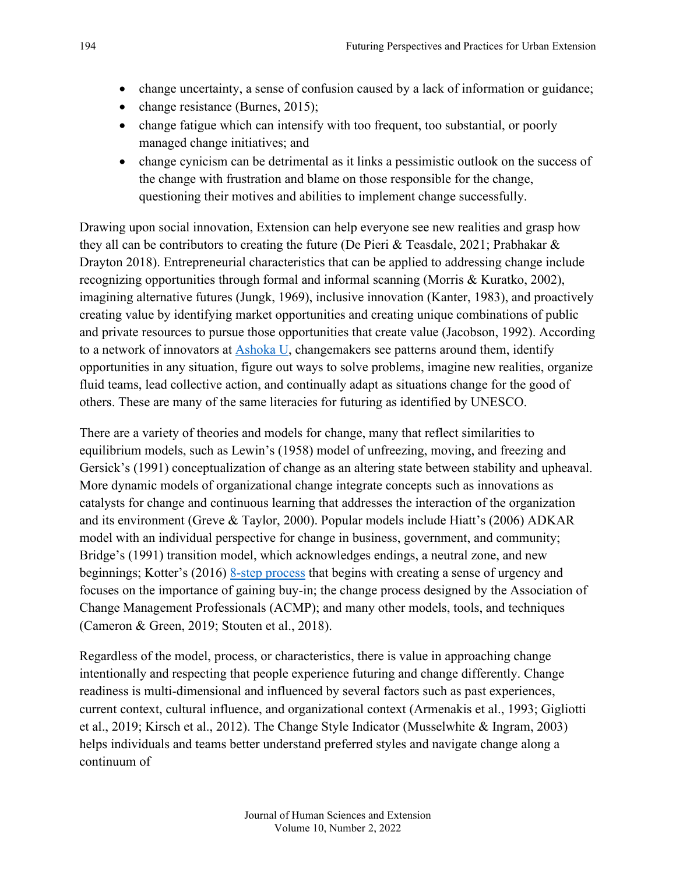- change uncertainty, a sense of confusion caused by a lack of information or guidance;
- change resistance (Burnes, 2015);
- change fatigue which can intensify with too frequent, too substantial, or poorly managed change initiatives; and
- change cynicism can be detrimental as it links a pessimistic outlook on the success of the change with frustration and blame on those responsible for the change, questioning their motives and abilities to implement change successfully.

Drawing upon social innovation, Extension can help everyone see new realities and grasp how they all can be contributors to creating the future (De Pieri & Teasdale, 2021; Prabhakar & Drayton 2018). Entrepreneurial characteristics that can be applied to addressing change include recognizing opportunities through formal and informal scanning (Morris & Kuratko, 2002), imagining alternative futures (Jungk, 1969), inclusive innovation (Kanter, 1983), and proactively creating value by identifying market opportunities and creating unique combinations of public and private resources to pursue those opportunities that create value (Jacobson, 1992). According to a network of innovators at **Ashoka U**, changemakers see patterns around them, identify opportunities in any situation, figure out ways to solve problems, imagine new realities, organize fluid teams, lead collective action, and continually adapt as situations change for the good of others. These are many of the same literacies for futuring as identified by UNESCO.

There are a variety of theories and models for change, many that reflect similarities to equilibrium models, such as Lewin's (1958) model of unfreezing, moving, and freezing and Gersick's (1991) conceptualization of change as an altering state between stability and upheaval. More dynamic models of organizational change integrate concepts such as innovations as catalysts for change and continuous learning that addresses the interaction of the organization and its environment (Greve & Taylor, 2000). Popular models include Hiatt's (2006) ADKAR model with an individual perspective for change in business, government, and community; Bridge's (1991) transition model, which acknowledges endings, a neutral zone, and new beginnings; Kotter's (2016) [8-step process](https://www.kotterinc.com/8-step-process-for-leading-change) that begins with creating a sense of urgency and focuses on the importance of gaining buy-in; the change process designed by the Association of Change Management Professionals (ACMP); and many other models, tools, and techniques (Cameron & Green, 2019; Stouten et al., 2018).

Regardless of the model, process, or characteristics, there is value in approaching change intentionally and respecting that people experience futuring and change differently. Change readiness is multi-dimensional and influenced by several factors such as past experiences, current context, cultural influence, and organizational context (Armenakis et al., 1993; Gigliotti et al., 2019; Kirsch et al., 2012). The Change Style Indicator (Musselwhite & Ingram, 2003) helps individuals and teams better understand preferred styles and navigate change along a continuum of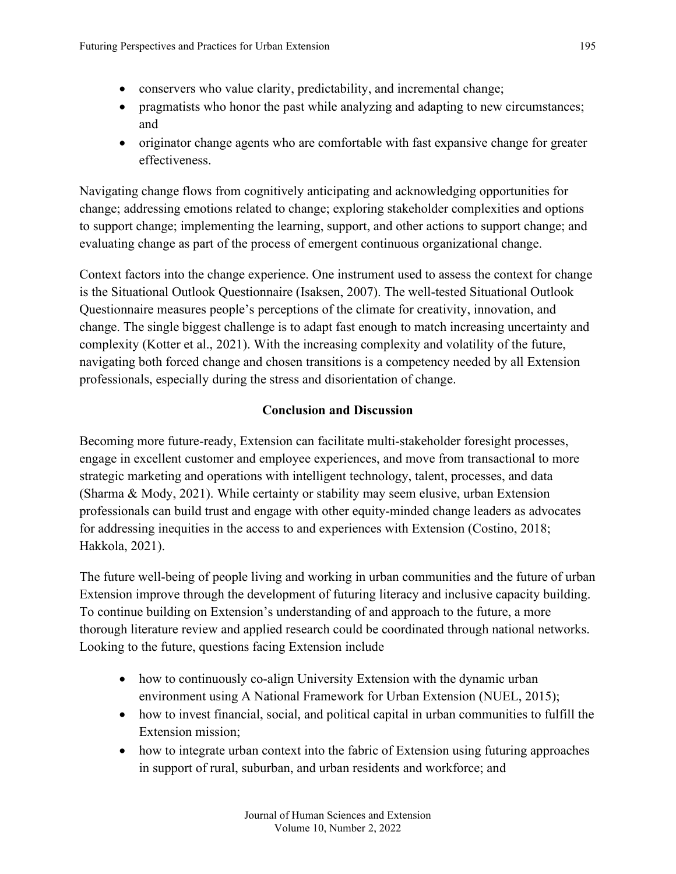- conservers who value clarity, predictability, and incremental change;
- pragmatists who honor the past while analyzing and adapting to new circumstances; and
- originator change agents who are comfortable with fast expansive change for greater effectiveness.

Navigating change flows from cognitively anticipating and acknowledging opportunities for change; addressing emotions related to change; exploring stakeholder complexities and options to support change; implementing the learning, support, and other actions to support change; and evaluating change as part of the process of emergent continuous organizational change.

Context factors into the change experience. One instrument used to assess the context for change is the Situational Outlook Questionnaire (Isaksen, 2007). The well-tested Situational Outlook Questionnaire measures people's perceptions of the climate for creativity, innovation, and change. The single biggest challenge is to adapt fast enough to match increasing uncertainty and complexity (Kotter et al., 2021). With the increasing complexity and volatility of the future, navigating both forced change and chosen transitions is a competency needed by all Extension professionals, especially during the stress and disorientation of change.

# **Conclusion and Discussion**

Becoming more future-ready, Extension can facilitate multi-stakeholder foresight processes, engage in excellent customer and employee experiences, and move from transactional to more strategic marketing and operations with intelligent technology, talent, processes, and data (Sharma & Mody, 2021). While certainty or stability may seem elusive, urban Extension professionals can build trust and engage with other equity-minded change leaders as advocates for addressing inequities in the access to and experiences with Extension (Costino, 2018; Hakkola, 2021).

The future well-being of people living and working in urban communities and the future of urban Extension improve through the development of futuring literacy and inclusive capacity building. To continue building on Extension's understanding of and approach to the future, a more thorough literature review and applied research could be coordinated through national networks. Looking to the future, questions facing Extension include

- how to continuously co-align University Extension with the dynamic urban environment using A National Framework for Urban Extension (NUEL, 2015);
- how to invest financial, social, and political capital in urban communities to fulfill the Extension mission;
- how to integrate urban context into the fabric of Extension using futuring approaches in support of rural, suburban, and urban residents and workforce; and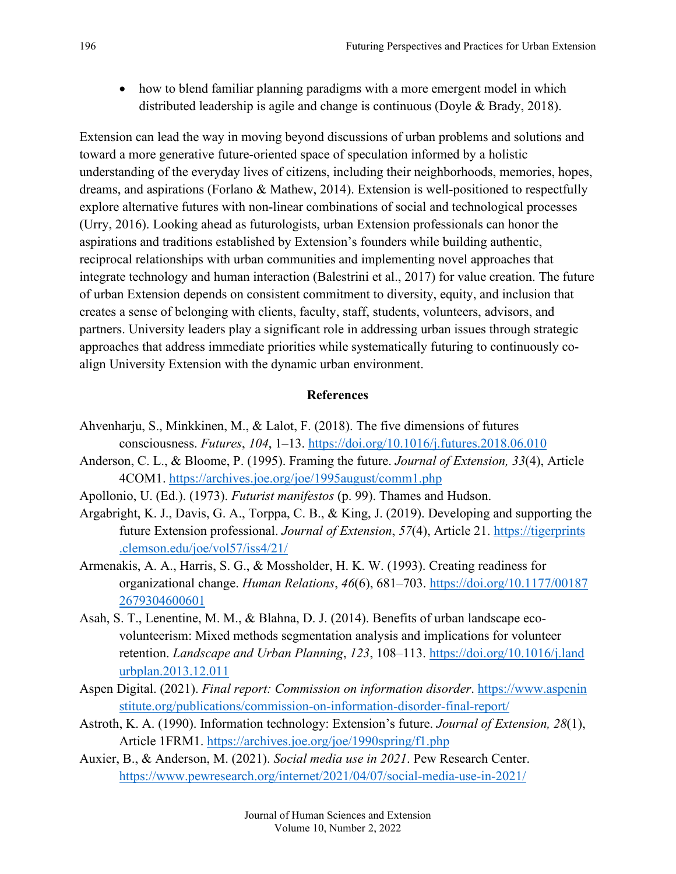• how to blend familiar planning paradigms with a more emergent model in which distributed leadership is agile and change is continuous (Doyle & Brady, 2018).

Extension can lead the way in moving beyond discussions of urban problems and solutions and toward a more generative future-oriented space of speculation informed by a holistic understanding of the everyday lives of citizens, including their neighborhoods, memories, hopes, dreams, and aspirations (Forlano & Mathew, 2014). Extension is well-positioned to respectfully explore alternative futures with non-linear combinations of social and technological processes (Urry, 2016). Looking ahead as futurologists, urban Extension professionals can honor the aspirations and traditions established by Extension's founders while building authentic, reciprocal relationships with urban communities and implementing novel approaches that integrate technology and human interaction (Balestrini et al., 2017) for value creation. The future of urban Extension depends on consistent commitment to diversity, equity, and inclusion that creates a sense of belonging with clients, faculty, staff, students, volunteers, advisors, and partners. University leaders play a significant role in addressing urban issues through strategic approaches that address immediate priorities while systematically futuring to continuously coalign University Extension with the dynamic urban environment.

#### **References**

- Ahvenharju, S., Minkkinen, M., & Lalot, F. (2018). The five dimensions of futures consciousness. *Futures*, *104*, 1–13.<https://doi.org/10.1016/j.futures.2018.06.010>
- Anderson, C. L., & Bloome, P. (1995). Framing the future. *Journal of Extension, 33*(4), Article 4COM1. <https://archives.joe.org/joe/1995august/comm1.php>
- Apollonio, U. (Ed.). (1973). *Futurist manifestos* (p. 99). Thames and Hudson.
- Argabright, K. J., Davis, G. A., Torppa, C. B., & King, J. (2019). Developing and supporting the future Extension professional. *Journal of Extension*, *57*(4), Article 21. [https://tigerprints](https://tigerprints.clemson.edu/joe/vol57/iss4/21/) [.clemson.edu/joe/vol57/iss4/21/](https://tigerprints.clemson.edu/joe/vol57/iss4/21/)
- Armenakis, A. A., Harris, S. G., & Mossholder, H. K. W. (1993). Creating readiness for organizational change. *Human Relations*, *46*(6), 681–703. [https://doi.org/10.1177/00187](https://doi.org/10.1177/001872679304600601) [2679304600601](https://doi.org/10.1177/001872679304600601)
- Asah, S. T., Lenentine, M. M., & Blahna, D. J. (2014). Benefits of urban landscape ecovolunteerism: Mixed methods segmentation analysis and implications for volunteer retention. *Landscape and Urban Planning*, *123*, 108–113. [https://doi.org/10.1016/j.land](https://doi.org/10.1016/j.landurbplan.2013.12.011) [urbplan.2013.12.011](https://doi.org/10.1016/j.landurbplan.2013.12.011)
- Aspen Digital. (2021). *Final report: Commission on information disorder*. [https://www.aspenin](https://www.aspeninstitute.org/publications/commission-on-information-disorder-final-report/) [stitute.org/publications/commission-on-information-disorder-final-report/](https://www.aspeninstitute.org/publications/commission-on-information-disorder-final-report/)
- Astroth, K. A. (1990). Information technology: Extension's future. *Journal of Extension, 28*(1), Article 1FRM1.<https://archives.joe.org/joe/1990spring/f1.php>
- Auxier, B., & Anderson, M. (2021). *Social media use in 2021*. Pew Research Center. <https://www.pewresearch.org/internet/2021/04/07/social-media-use-in-2021/>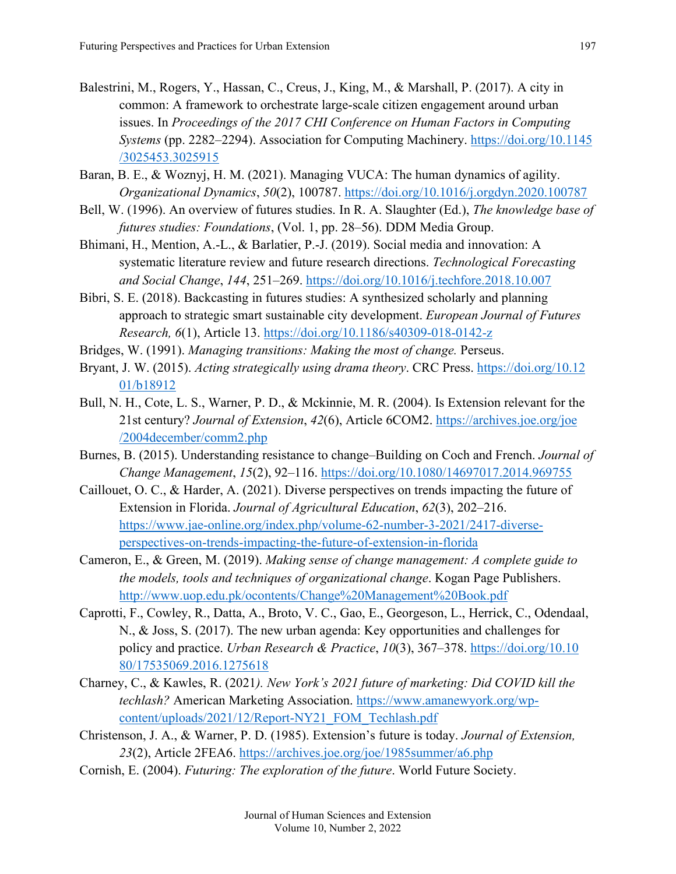- Balestrini, M., Rogers, Y., Hassan, C., Creus, J., King, M., & Marshall, P. (2017). A city in common: A framework to orchestrate large-scale citizen engagement around urban issues. In *Proceedings of the 2017 CHI Conference on Human Factors in Computing Systems* (pp. 2282–2294). Association for Computing Machinery. [https://doi.org/10.1145](https://doi.org/10.1145/3025453.3025915) [/3025453.3025915](https://doi.org/10.1145/3025453.3025915)
- Baran, B. E., & Woznyj, H. M. (2021). Managing VUCA: The human dynamics of agility. *Organizational Dynamics*, *50*(2), 100787. <https://doi.org/10.1016/j.orgdyn.2020.100787>
- Bell, W. (1996). An overview of futures studies. In R. A. Slaughter (Ed.), *The knowledge base of futures studies: Foundations*, (Vol. 1, pp. 28–56). DDM Media Group.
- Bhimani, H., Mention, A.-L., & Barlatier, P.-J. (2019). Social media and innovation: A systematic literature review and future research directions. *Technological Forecasting and Social Change*, *144*, 251–269. <https://doi.org/10.1016/j.techfore.2018.10.007>
- Bibri, S. E. (2018). Backcasting in futures studies: A synthesized scholarly and planning approach to strategic smart sustainable city development. *European Journal of Futures Research, 6*(1), Article 13. <https://doi.org/10.1186/s40309-018-0142-z>
- Bridges, W. (1991). *Managing transitions: Making the most of change.* Perseus.
- Bryant, J. W. (2015). *Acting strategically using drama theory*. CRC Press. [https://doi.org/10.12](https://doi.org/10.1201/b18912) [01/b18912](https://doi.org/10.1201/b18912)
- Bull, N. H., Cote, L. S., Warner, P. D., & Mckinnie, M. R. (2004). Is Extension relevant for the 21st century? *Journal of Extension*, *42*(6), Article 6COM2. [https://archives.joe.org/joe](https://archives.joe.org/joe/2004december/comm2.php) [/2004december/comm2.php](https://archives.joe.org/joe/2004december/comm2.php)
- Burnes, B. (2015). Understanding resistance to change–Building on Coch and French. *Journal of Change Management*, *15*(2), 92–116. <https://doi.org/10.1080/14697017.2014.969755>
- Caillouet, O. C., & Harder, A. (2021). Diverse perspectives on trends impacting the future of Extension in Florida. *Journal of Agricultural Education*, *62*(3), 202–216. [https://www.jae-online.org/index.php/volume-62-number-3-2021/2417-diverse](https://www.jae-online.org/index.php/volume-62-number-3-2021/2417-diverse-perspectives-on-trends-impacting-the-future-of-extension-in-florida)[perspectives-on-trends-impacting-the-future-of-extension-in-florida](https://www.jae-online.org/index.php/volume-62-number-3-2021/2417-diverse-perspectives-on-trends-impacting-the-future-of-extension-in-florida)
- Cameron, E., & Green, M. (2019). *Making sense of change management: A complete guide to the models, tools and techniques of organizational change*. Kogan Page Publishers. <http://www.uop.edu.pk/ocontents/Change%20Management%20Book.pdf>
- Caprotti, F., Cowley, R., Datta, A., Broto, V. C., Gao, E., Georgeson, L., Herrick, C., Odendaal, N., & Joss, S. (2017). The new urban agenda: Key opportunities and challenges for policy and practice. *Urban Research & Practice*, *10*(3), 367–378. [https://doi.org/10.10](https://doi.org/10.1080/17535069.2016.1275618) [80/17535069.2016.1275618](https://doi.org/10.1080/17535069.2016.1275618)
- Charney, C., & Kawles, R. (2021*). New York's 2021 future of marketing: Did COVID kill the techlash?* American Marketing Association. [https://www.amanewyork.org/wp](https://www.amanewyork.org/wp-content/uploads/2021/12/Report-NY21_FOM_Techlash.pdf)[content/uploads/2021/12/Report-NY21\\_FOM\\_Techlash.pdf](https://www.amanewyork.org/wp-content/uploads/2021/12/Report-NY21_FOM_Techlash.pdf)
- Christenson, J. A., & Warner, P. D. (1985). Extension's future is today. *Journal of Extension, 23*(2), Article 2FEA6. <https://archives.joe.org/joe/1985summer/a6.php>
- Cornish, E. (2004). *Futuring: The exploration of the future*. World Future Society.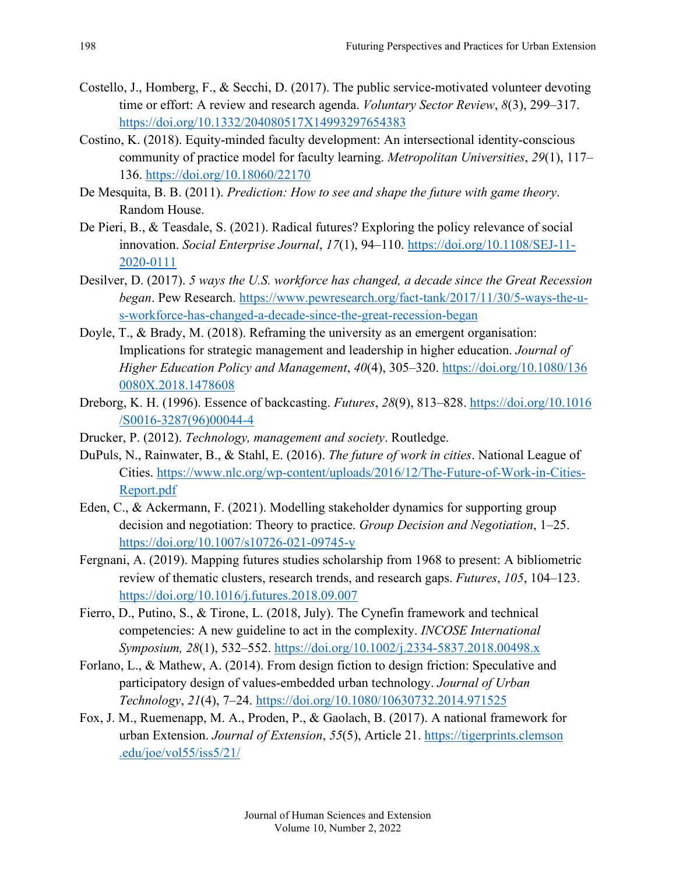- Costello, J., Homberg, F., & Secchi, D. (2017). The public service-motivated volunteer devoting time or effort: A review and research agenda. *Voluntary Sector Review*, *8*(3), 299–317. <https://doi.org/10.1332/204080517X14993297654383>
- Costino, K. (2018). Equity-minded faculty development: An intersectional identity-conscious community of practice model for faculty learning. *Metropolitan Universities*, *29*(1), 117– 136. <https://doi.org/10.18060/22170>
- De Mesquita, B. B. (2011). *Prediction: How to see and shape the future with game theory*. Random House.
- De Pieri, B., & Teasdale, S. (2021). Radical futures? Exploring the policy relevance of social innovation. *Social Enterprise Journal*, *17*(1), 94–110. [https://doi.org/10.1108/SEJ-11-](https://doi.org/10.1108/SEJ-11-2020-0111) [2020-0111](https://doi.org/10.1108/SEJ-11-2020-0111)
- Desilver, D. (2017). *5 ways the U.S. workforce has changed, a decade since the Great Recession began*. Pew Research. [https://www.pewresearch.org/fact-tank/2017/11/30/5-ways-the-u](https://www.pewresearch.org/fact-tank/2017/11/30/5-ways-the-u-s-workforce-has-changed-a-decade-since-the-great-recession-began)[s-workforce-has-changed-a-decade-since-the-great-recession-began](https://www.pewresearch.org/fact-tank/2017/11/30/5-ways-the-u-s-workforce-has-changed-a-decade-since-the-great-recession-began)
- Doyle, T., & Brady, M. (2018). Reframing the university as an emergent organisation: Implications for strategic management and leadership in higher education. *Journal of Higher Education Policy and Management*, *40*(4), 305–320. [https://doi.org/10.1080/136](https://doi.org/10.1080/1360080X.2018.1478608) [0080X.2018.1478608](https://doi.org/10.1080/1360080X.2018.1478608)
- Dreborg, K. H. (1996). Essence of backcasting. *Futures*, *28*(9), 813–828. [https://doi.org/10.1016](https://doi.org/10.1016/S0016-3287(96)00044-4) [/S0016-3287\(96\)00044-4](https://doi.org/10.1016/S0016-3287(96)00044-4)
- Drucker, P. (2012). *Technology, management and society*. Routledge.
- DuPuls, N., Rainwater, B., & Stahl, E. (2016). *The future of work in cities*. National League of Cities. [https://www.nlc.org/wp-content/uploads/2016/12/The-Future-of-Work-in-Cities-](https://www.nlc.org/wp-content/uploads/2016/12/The-Future-of-Work-in-Cities-Report.pdf)[Report.pdf](https://www.nlc.org/wp-content/uploads/2016/12/The-Future-of-Work-in-Cities-Report.pdf)
- Eden, C., & Ackermann, F. (2021). Modelling stakeholder dynamics for supporting group decision and negotiation: Theory to practice. *Group Decision and Negotiation*, 1–25. <https://doi.org/10.1007/s10726-021-09745-y>
- Fergnani, A. (2019). Mapping futures studies scholarship from 1968 to present: A bibliometric review of thematic clusters, research trends, and research gaps. *Futures*, *105*, 104–123. <https://doi.org/10.1016/j.futures.2018.09.007>
- Fierro, D., Putino, S., & Tirone, L. (2018, July). The Cynefin framework and technical competencies: A new guideline to act in the complexity. *INCOSE International Symposium, 28*(1), 532–552. <https://doi.org/10.1002/j.2334-5837.2018.00498.x>
- Forlano, L., & Mathew, A. (2014). From design fiction to design friction: Speculative and participatory design of values-embedded urban technology. *Journal of Urban Technology*, *21*(4), 7–24. <https://doi.org/10.1080/10630732.2014.971525>
- Fox, J. M., Ruemenapp, M. A., Proden, P., & Gaolach, B. (2017). A national framework for urban Extension. *Journal of Extension*, *55*(5), Article 21. [https://tigerprints.clemson](https://tigerprints.clemson.edu/joe/vol55/iss5/21/) [.edu/joe/vol55/iss5/21/](https://tigerprints.clemson.edu/joe/vol55/iss5/21/)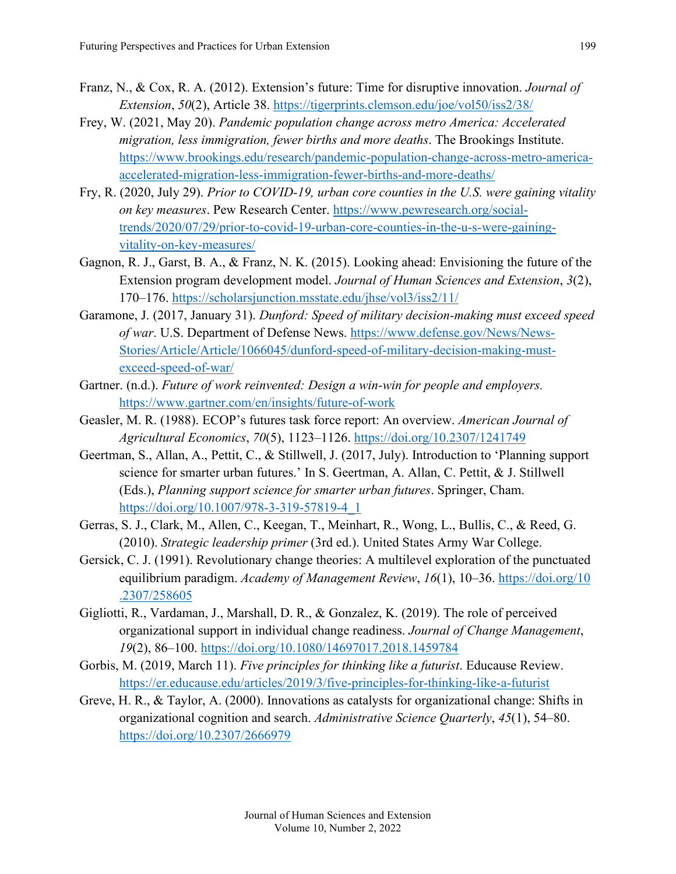- Franz, N., & Cox, R. A. (2012). Extension's future: Time for disruptive innovation. *Journal of Extension*, *50*(2), Article 38.<https://tigerprints.clemson.edu/joe/vol50/iss2/38/>
- Frey, W. (2021, May 20). *Pandemic population change across metro America: Accelerated migration, less immigration, fewer births and more deaths*. The Brookings Institute. [https://www.brookings.edu/research/pandemic-population-change-across-metro-america](https://www.brookings.edu/research/pandemic-population-change-across-metro-america-accelerated-migration-less-immigration-fewer-births-and-more-deaths/)[accelerated-migration-less-immigration-fewer-births-and-more-deaths/](https://www.brookings.edu/research/pandemic-population-change-across-metro-america-accelerated-migration-less-immigration-fewer-births-and-more-deaths/)
- Fry, R. (2020, July 29). *Prior to COVID-19, urban core counties in the U.S. were gaining vitality on key measures*. Pew Research Center. [https://www.pewresearch.org/social](https://www.pewresearch.org/social-trends/2020/07/29/prior-to-covid-19-urban-core-counties-in-the-u-s-were-gaining-vitality-on-key-measures/)[trends/2020/07/29/prior-to-covid-19-urban-core-counties-in-the-u-s-were-gaining](https://www.pewresearch.org/social-trends/2020/07/29/prior-to-covid-19-urban-core-counties-in-the-u-s-were-gaining-vitality-on-key-measures/)[vitality-on-key-measures/](https://www.pewresearch.org/social-trends/2020/07/29/prior-to-covid-19-urban-core-counties-in-the-u-s-were-gaining-vitality-on-key-measures/)
- Gagnon, R. J., Garst, B. A., & Franz, N. K. (2015). Looking ahead: Envisioning the future of the Extension program development model. *Journal of Human Sciences and Extension*, *3*(2), 170–176. <https://scholarsjunction.msstate.edu/jhse/vol3/iss2/11/>
- Garamone, J. (2017, January 31). *Dunford: Speed of military decision-making must exceed speed of war*. U.S. Department of Defense News. [https://www.defense.gov/News/News-](https://www.defense.gov/News/News-Stories/Article/Article/1066045/dunford-speed-of-military-decision-making-must-exceed-speed-of-war/)[Stories/Article/Article/1066045/dunford-speed-of-military-decision-making-must](https://www.defense.gov/News/News-Stories/Article/Article/1066045/dunford-speed-of-military-decision-making-must-exceed-speed-of-war/)[exceed-speed-of-war/](https://www.defense.gov/News/News-Stories/Article/Article/1066045/dunford-speed-of-military-decision-making-must-exceed-speed-of-war/)
- Gartner. (n.d.). *Future of work reinvented: Design a win-win for people and employers.*  <https://www.gartner.com/en/insights/future-of-work>
- Geasler, M. R. (1988). ECOP's futures task force report: An overview. *American Journal of Agricultural Economics*, *70*(5), 1123–1126. <https://doi.org/10.2307/1241749>
- Geertman, S., Allan, A., Pettit, C., & Stillwell, J. (2017, July). Introduction to 'Planning support science for smarter urban futures.' In S. Geertman, A. Allan, C. Pettit, & J. Stillwell (Eds.), *Planning support science for smarter urban futures*. Springer, Cham. [https://doi.org/10.1007/978-3-319-57819-4\\_1](https://doi.org/10.1007/978-3-319-57819-4_1)
- Gerras, S. J., Clark, M., Allen, C., Keegan, T., Meinhart, R., Wong, L., Bullis, C., & Reed, G. (2010). *Strategic leadership primer* (3rd ed.). United States Army War College.
- Gersick, C. J. (1991). Revolutionary change theories: A multilevel exploration of the punctuated equilibrium paradigm. *Academy of Management Review*, *16*(1), 10–36. [https://doi.org/10](https://doi.org/10.2307/258605) [.2307/258605](https://doi.org/10.2307/258605)
- Gigliotti, R., Vardaman, J., Marshall, D. R., & Gonzalez, K. (2019). The role of perceived organizational support in individual change readiness. *Journal of Change Management*, *19*(2), 86–100. <https://doi.org/10.1080/14697017.2018.1459784>
- Gorbis, M. (2019, March 11). *Five principles for thinking like a futurist*. Educause Review. <https://er.educause.edu/articles/2019/3/five-principles-for-thinking-like-a-futurist>
- Greve, H. R., & Taylor, A. (2000). Innovations as catalysts for organizational change: Shifts in organizational cognition and search. *Administrative Science Quarterly*, *45*(1), 54–80. <https://doi.org/10.2307/2666979>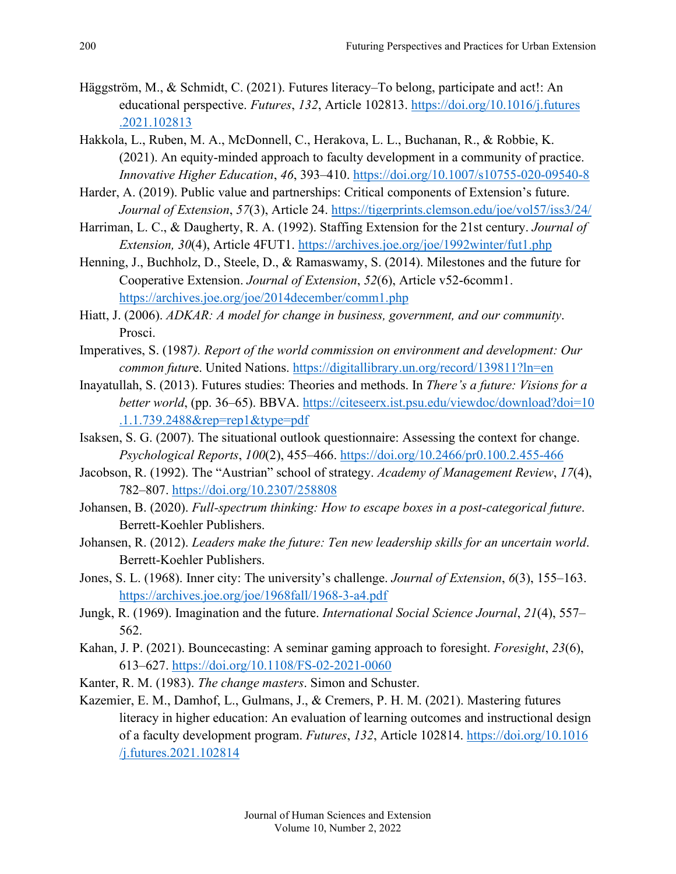- Häggström, M., & Schmidt, C. (2021). Futures literacy–To belong, participate and act!: An educational perspective. *Futures*, *132*, Article 102813. [https://doi.org/10.1016/j.futures](https://doi.org/10.1016/j.futures.2021.102813) [.2021.102813](https://doi.org/10.1016/j.futures.2021.102813)
- Hakkola, L., Ruben, M. A., McDonnell, C., Herakova, L. L., Buchanan, R., & Robbie, K. (2021). An equity-minded approach to faculty development in a community of practice. *Innovative Higher Education*, *46*, 393–410. <https://doi.org/10.1007/s10755-020-09540-8>
- Harder, A. (2019). Public value and partnerships: Critical components of Extension's future. *Journal of Extension*, *57*(3), Article 24.<https://tigerprints.clemson.edu/joe/vol57/iss3/24/>
- Harriman, L. C., & Daugherty, R. A. (1992). Staffing Extension for the 21st century. *Journal of Extension, 30*(4), Article 4FUT1. <https://archives.joe.org/joe/1992winter/fut1.php>
- Henning, J., Buchholz, D., Steele, D., & Ramaswamy, S. (2014). Milestones and the future for Cooperative Extension. *Journal of Extension*, *52*(6), Article v52-6comm1. <https://archives.joe.org/joe/2014december/comm1.php>
- Hiatt, J. (2006). *ADKAR: A model for change in business, government, and our community*. Prosci.
- Imperatives, S. (1987*). Report of the world commission on environment and development: Our common futur*e. United Nations. <https://digitallibrary.un.org/record/139811?ln=en>
- Inayatullah, S. (2013). Futures studies: Theories and methods. In *There's a future: Visions for a better world*, (pp. 36–65). BBVA. [https://citeseerx.ist.psu.edu/viewdoc/download?doi=10](https://citeseerx.ist.psu.edu/viewdoc/download?doi=10.1.1.739.2488&rep=rep1&type=pdf) [.1.1.739.2488&rep=rep1&type=pdf](https://citeseerx.ist.psu.edu/viewdoc/download?doi=10.1.1.739.2488&rep=rep1&type=pdf)
- Isaksen, S. G. (2007). The situational outlook questionnaire: Assessing the context for change. *Psychological Reports*, *100*(2), 455–466. <https://doi.org/10.2466/pr0.100.2.455-466>
- Jacobson, R. (1992). The "Austrian" school of strategy. *Academy of Management Review*, *17*(4), 782–807. <https://doi.org/10.2307/258808>
- Johansen, B. (2020). *Full-spectrum thinking: How to escape boxes in a post-categorical future*. Berrett-Koehler Publishers.
- Johansen, R. (2012). *Leaders make the future: Ten new leadership skills for an uncertain world*. Berrett-Koehler Publishers.
- Jones, S. L. (1968). Inner city: The university's challenge. *Journal of Extension*, *6*(3), 155–163. <https://archives.joe.org/joe/1968fall/1968-3-a4.pdf>
- Jungk, R. (1969). Imagination and the future. *International Social Science Journal*, *21*(4), 557– 562.
- Kahan, J. P. (2021). Bouncecasting: A seminar gaming approach to foresight. *Foresight*, *23*(6), 613–627.<https://doi.org/10.1108/FS-02-2021-0060>
- Kanter, R. M. (1983). *The change masters*. Simon and Schuster.
- Kazemier, E. M., Damhof, L., Gulmans, J., & Cremers, P. H. M. (2021). Mastering futures literacy in higher education: An evaluation of learning outcomes and instructional design of a faculty development program. *Futures*, *132*, Article 102814. [https://doi.org/10.1016](https://doi.org/10.1016/j.futures.2021.102814) [/j.futures.2021.102814](https://doi.org/10.1016/j.futures.2021.102814)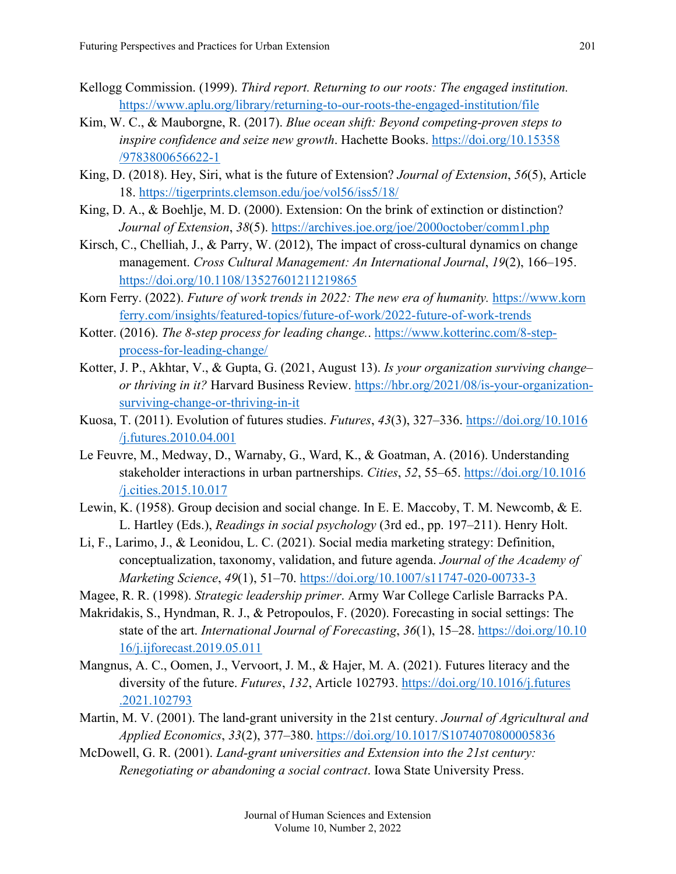- Kellogg Commission. (1999). *Third report. Returning to our roots: The engaged institution.*  <https://www.aplu.org/library/returning-to-our-roots-the-engaged-institution/file>
- Kim, W. C., & Mauborgne, R. (2017). *Blue ocean shift: Beyond competing-proven steps to inspire confidence and seize new growth*. Hachette Books. [https://doi.org/10.15358](https://doi.org/10.15358/9783800656622-1) [/9783800656622-1](https://doi.org/10.15358/9783800656622-1)
- King, D. (2018). Hey, Siri, what is the future of Extension? *Journal of Extension*, *56*(5), Article 18. <https://tigerprints.clemson.edu/joe/vol56/iss5/18/>
- King, D. A., & Boehlje, M. D. (2000). Extension: On the brink of extinction or distinction? *Journal of Extension*, *38*(5). <https://archives.joe.org/joe/2000october/comm1.php>
- Kirsch, C., Chelliah, J., & Parry, W. (2012), The impact of cross-cultural dynamics on change management. *Cross Cultural Management: An International Journal*, *19*(2), 166–195. <https://doi.org/10.1108/13527601211219865>
- Korn Ferry. (2022). *Future of work trends in 2022: The new era of humanity.* [https://www.korn](https://www.kornferry.com/insights/featured-topics/future-of-work/2022-future-of-work-trends) [ferry.com/insights/featured-topics/future-of-work/2022-future-of-work-trends](https://www.kornferry.com/insights/featured-topics/future-of-work/2022-future-of-work-trends)
- Kotter. (2016). *The 8-step process for leading change.*. [https://www.kotterinc.com/8-step](https://www.kotterinc.com/8-step-process-for-leading-change/)[process-for-leading-change/](https://www.kotterinc.com/8-step-process-for-leading-change/)
- Kotter, J. P., Akhtar, V., & Gupta, G. (2021, August 13). *Is your organization surviving change– or thriving in it?* Harvard Business Review. [https://hbr.org/2021/08/is-your-organization](https://hbr.org/2021/08/is-your-organization-surviving-change-or-thriving-in-it)[surviving-change-or-thriving-in-it](https://hbr.org/2021/08/is-your-organization-surviving-change-or-thriving-in-it)
- Kuosa, T. (2011). Evolution of futures studies. *Futures*, *43*(3), 327–336. [https://doi.org/10.1016](https://doi.org/10.1016/j.futures.2010.04.001) [/j.futures.2010.04.001](https://doi.org/10.1016/j.futures.2010.04.001)
- Le Feuvre, M., Medway, D., Warnaby, G., Ward, K., & Goatman, A. (2016). Understanding stakeholder interactions in urban partnerships. *Cities*, *52*, 55–65. [https://doi.org/10.1016](https://doi.org/10.1016/j.cities.2015.10.017) [/j.cities.2015.10.017](https://doi.org/10.1016/j.cities.2015.10.017)
- Lewin, K. (1958). Group decision and social change. In E. E. Maccoby, T. M. Newcomb, & E. L. Hartley (Eds.), *Readings in social psychology* (3rd ed., pp. 197–211). Henry Holt.
- Li, F., Larimo, J., & Leonidou, L. C. (2021). Social media marketing strategy: Definition, conceptualization, taxonomy, validation, and future agenda. *Journal of the Academy of Marketing Science*, *49*(1), 51–70. <https://doi.org/10.1007/s11747-020-00733-3>
- Magee, R. R. (1998). *Strategic leadership primer*. Army War College Carlisle Barracks PA.
- Makridakis, S., Hyndman, R. J., & Petropoulos, F. (2020). Forecasting in social settings: The state of the art. *International Journal of Forecasting*, *36*(1), 15–28. [https://doi.org/10.10](https://doi.org/10.1016/j.ijforecast.2019.05.011) [16/j.ijforecast.2019.05.011](https://doi.org/10.1016/j.ijforecast.2019.05.011)
- Mangnus, A. C., Oomen, J., Vervoort, J. M., & Hajer, M. A. (2021). Futures literacy and the diversity of the future. *Futures*, *132*, Article 102793. [https://doi.org/10.1016/j.futures](https://doi.org/10.1016/j.futures.2021.102793) [.2021.102793](https://doi.org/10.1016/j.futures.2021.102793)
- Martin, M. V. (2001). The land-grant university in the 21st century. *Journal of Agricultural and Applied Economics*, *33*(2), 377–380.<https://doi.org/10.1017/S1074070800005836>
- McDowell, G. R. (2001). *Land-grant universities and Extension into the 21st century: Renegotiating or abandoning a social contract*. Iowa State University Press.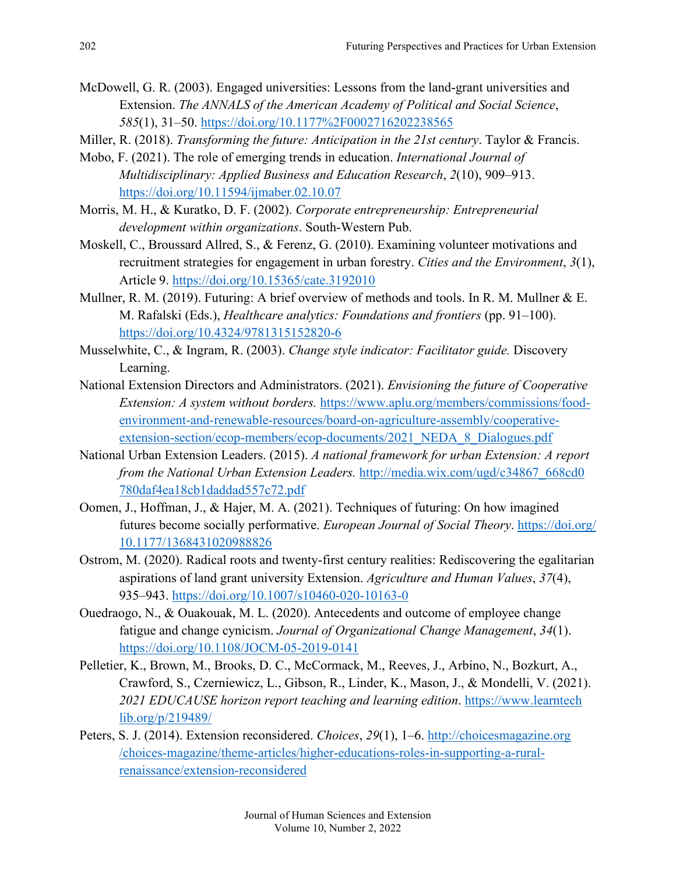- McDowell, G. R. (2003). Engaged universities: Lessons from the land-grant universities and Extension. *The ANNALS of the American Academy of Political and Social Science*, *585*(1), 31–50. <https://doi.org/10.1177%2F0002716202238565>
- Miller, R. (2018). *Transforming the future: Anticipation in the 21st century*. Taylor & Francis.
- Mobo, F. (2021). The role of emerging trends in education. *International Journal of Multidisciplinary: Applied Business and Education Research*, *2*(10), 909–913. <https://doi.org/10.11594/ijmaber.02.10.07>
- Morris, M. H., & Kuratko, D. F. (2002). *Corporate entrepreneurship: Entrepreneurial development within organizations*. South-Western Pub.
- Moskell, C., Broussard Allred, S., & Ferenz, G. (2010). Examining volunteer motivations and recruitment strategies for engagement in urban forestry. *Cities and the Environment*, *3*(1), Article 9. <https://doi.org/10.15365/cate.3192010>
- Mullner, R. M. (2019). Futuring: A brief overview of methods and tools. In R. M. Mullner & E. M. Rafalski (Eds.), *Healthcare analytics: Foundations and frontiers* (pp. 91–100). <https://doi.org/10.4324/9781315152820-6>
- Musselwhite, C., & Ingram, R. (2003). *Change style indicator: Facilitator guide.* Discovery Learning.
- National Extension Directors and Administrators. (2021). *Envisioning the future of Cooperative Extension: A system without borders.* [https://www.aplu.org/members/commissions/food](https://www.aplu.org/members/commissions/food-environment-and-renewable-resources/board-on-agriculture-assembly/cooperative-extension-section/ecop-members/ecop-documents/2021_NEDA_8_Dialogues.pdf)[environment-and-renewable-resources/board-on-agriculture-assembly/cooperative](https://www.aplu.org/members/commissions/food-environment-and-renewable-resources/board-on-agriculture-assembly/cooperative-extension-section/ecop-members/ecop-documents/2021_NEDA_8_Dialogues.pdf)[extension-section/ecop-members/ecop-documents/2021\\_NEDA\\_8\\_Dialogues.pdf](https://www.aplu.org/members/commissions/food-environment-and-renewable-resources/board-on-agriculture-assembly/cooperative-extension-section/ecop-members/ecop-documents/2021_NEDA_8_Dialogues.pdf)
- National Urban Extension Leaders. (2015). *A national framework for urban Extension: A report from the National Urban Extension Leaders.* [http://media.wix.com/ugd/c34867\\_668cd0](http://media.wix.com/ugd/c34867_668cd0780daf4ea18cb1daddad557c72.pdf) [780daf4ea18cb1daddad557c72.pdf](http://media.wix.com/ugd/c34867_668cd0780daf4ea18cb1daddad557c72.pdf)
- Oomen, J., Hoffman, J., & Hajer, M. A. (2021). Techniques of futuring: On how imagined futures become socially performative. *European Journal of Social Theory*. [https://doi.org/](https://doi.org/10.1177/1368431020988826) [10.1177/1368431020988826](https://doi.org/10.1177/1368431020988826)
- Ostrom, M. (2020). Radical roots and twenty-first century realities: Rediscovering the egalitarian aspirations of land grant university Extension. *Agriculture and Human Values*, *37*(4), 935–943. <https://doi.org/10.1007/s10460-020-10163-0>
- Ouedraogo, N., & Ouakouak, M. L. (2020). Antecedents and outcome of employee change fatigue and change cynicism. *Journal of Organizational Change Management*, *34*(1). <https://doi.org/10.1108/JOCM-05-2019-0141>
- Pelletier, K., Brown, M., Brooks, D. C., McCormack, M., Reeves, J., Arbino, N., Bozkurt, A., Crawford, S., Czerniewicz, L., Gibson, R., Linder, K., Mason, J., & Mondelli, V. (2021). *2021 EDUCAUSE horizon report teaching and learning edition*. [https://www.learntech](https://www.learntechlib.org/p/219489/) [lib.org/p/219489/](https://www.learntechlib.org/p/219489/)
- Peters, S. J. (2014). Extension reconsidered. *Choices*, *29*(1), 1–6. [http://choicesmagazine.org](http://choicesmagazine.org/choices-magazine/theme-articles/higher-educations-roles-in-supporting-a-rural-renaissance/extension-reconsidered) [/choices-magazine/theme-articles/higher-educations-roles-in-supporting-a-rural](http://choicesmagazine.org/choices-magazine/theme-articles/higher-educations-roles-in-supporting-a-rural-renaissance/extension-reconsidered)[renaissance/extension-reconsidered](http://choicesmagazine.org/choices-magazine/theme-articles/higher-educations-roles-in-supporting-a-rural-renaissance/extension-reconsidered)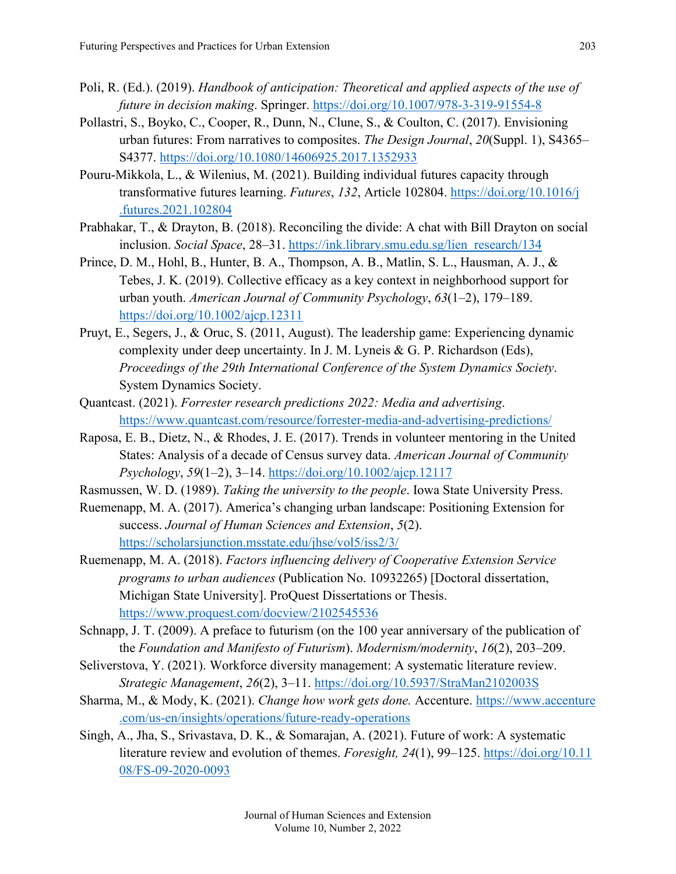- Poli, R. (Ed.). (2019). *Handbook of anticipation: Theoretical and applied aspects of the use of future in decision making*. Springer.<https://doi.org/10.1007/978-3-319-91554-8>
- Pollastri, S., Boyko, C., Cooper, R., Dunn, N., Clune, S., & Coulton, C. (2017). Envisioning urban futures: From narratives to composites. *The Design Journal*, *20*(Suppl. 1), S4365– S4377. <https://doi.org/10.1080/14606925.2017.1352933>
- Pouru-Mikkola, L., & Wilenius, M. (2021). Building individual futures capacity through transformative futures learning. *Futures*, *132*, Article 102804. [https://doi.org/10.1016/j](https://doi.org/10.1016/j.futures.2021.102804) [.futures.2021.102804](https://doi.org/10.1016/j.futures.2021.102804)
- Prabhakar, T., & Drayton, B. (2018). Reconciling the divide: A chat with Bill Drayton on social inclusion. *Social Space*, 28–31. [https://ink.library.smu.edu.sg/lien\\_research/134](https://ink.library.smu.edu.sg/lien_research/134)
- Prince, D. M., Hohl, B., Hunter, B. A., Thompson, A. B., Matlin, S. L., Hausman, A. J., & Tebes, J. K. (2019). Collective efficacy as a key context in neighborhood support for urban youth. *American Journal of Community Psychology*, *63*(1–2), 179–189. <https://doi.org/10.1002/ajcp.12311>
- Pruyt, E., Segers, J., & Oruc, S. (2011, August). The leadership game: Experiencing dynamic complexity under deep uncertainty. In J. M. Lyneis & G. P. Richardson (Eds), *Proceedings of the 29th International Conference of the System Dynamics Society*. System Dynamics Society.
- Quantcast. (2021). *Forrester research predictions 2022: Media and advertising*. <https://www.quantcast.com/resource/forrester-media-and-advertising-predictions/>
- Raposa, E. B., Dietz, N., & Rhodes, J. E. (2017). Trends in volunteer mentoring in the United States: Analysis of a decade of Census survey data. *American Journal of Community Psychology*, *59*(1–2), 3–14. <https://doi.org/10.1002/ajcp.12117>
- Rasmussen, W. D. (1989). *Taking the university to the people*. Iowa State University Press.
- Ruemenapp, M. A. (2017). America's changing urban landscape: Positioning Extension for success. *Journal of Human Sciences and Extension*, *5*(2). <https://scholarsjunction.msstate.edu/jhse/vol5/iss2/3/>
- Ruemenapp, M. A. (2018). *Factors influencing delivery of Cooperative Extension Service programs to urban audiences* (Publication No. 10932265) [Doctoral dissertation, Michigan State University]. ProQuest Dissertations or Thesis. <https://www.proquest.com/docview/2102545536>
- Schnapp, J. T. (2009). A preface to futurism (on the 100 year anniversary of the publication of the *Foundation and Manifesto of Futurism*). *Modernism/modernity*, *16*(2), 203–209.
- Seliverstova, Y. (2021). Workforce diversity management: A systematic literature review. *Strategic Management*, *26*(2), 3–11.<https://doi.org/10.5937/StraMan2102003S>
- Sharma, M., & Mody, K. (2021). *Change how work gets done.* Accenture. [https://www.accenture](https://www.accenture.com/us-en/insights/operations/future-ready-operations) [.com/us-en/insights/operations/future-ready-operations](https://www.accenture.com/us-en/insights/operations/future-ready-operations)
- Singh, A., Jha, S., Srivastava, D. K., & Somarajan, A. (2021). Future of work: A systematic literature review and evolution of themes. *Foresight, 24*(1), 99–125. [https://doi.org/10.11](https://doi.org/10.1108/FS-09-2020-0093) [08/FS-09-2020-0093](https://doi.org/10.1108/FS-09-2020-0093)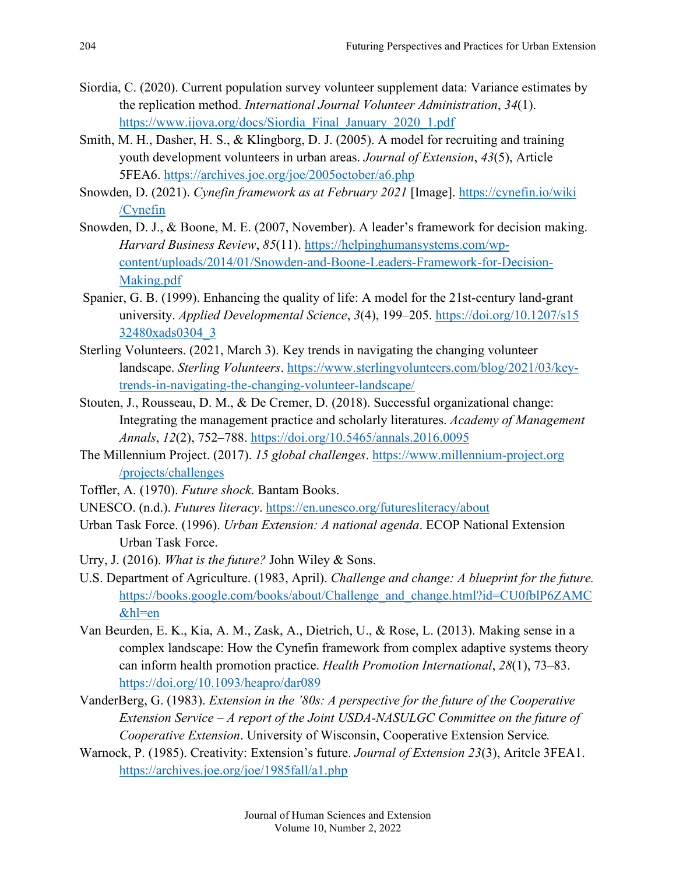- Siordia, C. (2020). Current population survey volunteer supplement data: Variance estimates by the replication method. *International Journal Volunteer Administration*, *34*(1). [https://www.ijova.org/docs/Siordia\\_Final\\_January\\_2020\\_1.pdf](https://www.ijova.org/docs/Siordia_Final_January_2020_1.pdf)
- Smith, M. H., Dasher, H. S., & Klingborg, D. J. (2005). A model for recruiting and training youth development volunteers in urban areas. *Journal of Extension*, *43*(5), Article 5FEA6. <https://archives.joe.org/joe/2005october/a6.php>
- Snowden, D. (2021). *Cynefin framework as at February 2021* [Image]. [https://cynefin.io/wiki](https://cynefin.io/wiki/Cynefin) [/Cynefin](https://cynefin.io/wiki/Cynefin)
- Snowden, D. J., & Boone, M. E. (2007, November). A leader's framework for decision making. *Harvard Business Review*, *85*(11). [https://helpinghumansystems.com/wp](https://helpinghumansystems.com/wp-content/uploads/2014/01/Snowden-and-Boone-Leaders-Framework-for-Decision-Making.pdf)[content/uploads/2014/01/Snowden-and-Boone-Leaders-Framework-for-Decision-](https://helpinghumansystems.com/wp-content/uploads/2014/01/Snowden-and-Boone-Leaders-Framework-for-Decision-Making.pdf)[Making.pdf](https://helpinghumansystems.com/wp-content/uploads/2014/01/Snowden-and-Boone-Leaders-Framework-for-Decision-Making.pdf)
- Spanier, G. B. (1999). Enhancing the quality of life: A model for the 21st-century land-grant university. *Applied Developmental Science*, *3*(4), 199–205. [https://doi.org/10.1207/s15](https://doi.org/10.1207/s1532480xads0304_3) [32480xads0304\\_3](https://doi.org/10.1207/s1532480xads0304_3)
- Sterling Volunteers. (2021, March 3). Key trends in navigating the changing volunteer landscape. *Sterling Volunteers*. [https://www.sterlingvolunteers.com/blog/2021/03/key](https://www.sterlingvolunteers.com/blog/2021/03/key-trends-in-navigating-the-changing-volunteer-landscape/)[trends-in-navigating-the-changing-volunteer-landscape/](https://www.sterlingvolunteers.com/blog/2021/03/key-trends-in-navigating-the-changing-volunteer-landscape/)
- Stouten, J., Rousseau, D. M., & De Cremer, D. (2018). Successful organizational change: Integrating the management practice and scholarly literatures. *Academy of Management Annals*, *12*(2), 752–788. <https://doi.org/10.5465/annals.2016.0095>
- The Millennium Project. (2017). *15 global challenges*. [https://www.millennium-project.org](https://www.millennium-project.org/projects/challenges) [/projects/challenges](https://www.millennium-project.org/projects/challenges)
- Toffler, A. (1970). *Future shock*. Bantam Books.
- UNESCO. (n.d.). *Futures literacy*.<https://en.unesco.org/futuresliteracy/about>
- Urban Task Force. (1996). *Urban Extension: A national agenda*. ECOP National Extension Urban Task Force.
- Urry, J. (2016). *What is the future?* John Wiley & Sons.
- U.S. Department of Agriculture. (1983, April). *Challenge and change: A blueprint for the future.*  [https://books.google.com/books/about/Challenge\\_and\\_change.html?id=CU0fblP6ZAMC](https://books.google.com/books/about/Challenge_and_change.html?id=CU0fblP6ZAMC&hl=en) [&hl=en](https://books.google.com/books/about/Challenge_and_change.html?id=CU0fblP6ZAMC&hl=en)
- Van Beurden, E. K., Kia, A. M., Zask, A., Dietrich, U., & Rose, L. (2013). Making sense in a complex landscape: How the Cynefin framework from complex adaptive systems theory can inform health promotion practice. *Health Promotion International*, *28*(1), 73–83. <https://doi.org/10.1093/heapro/dar089>
- VanderBerg, G. (1983). *Extension in the '80s: A perspective for the future of the Cooperative Extension Service – A report of the Joint USDA-NASULGC Committee on the future of Cooperative Extension*. University of Wisconsin, Cooperative Extension Service*.*
- Warnock, P. (1985). Creativity: Extension's future. *Journal of Extension 23*(3), Aritcle 3FEA1. <https://archives.joe.org/joe/1985fall/a1.php>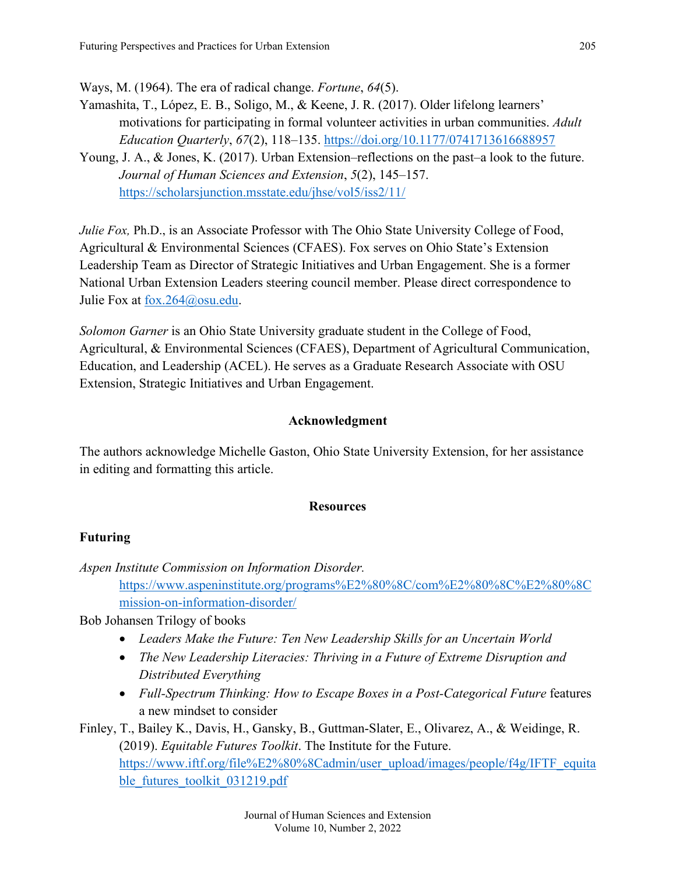Ways, M. (1964). The era of radical change. *Fortune*, *64*(5).

- Yamashita, T., López, E. B., Soligo, M., & Keene, J. R. (2017). Older lifelong learners' motivations for participating in formal volunteer activities in urban communities. *Adult Education Quarterly*, *67*(2), 118–135. <https://doi.org/10.1177/0741713616688957>
- Young, J. A., & Jones, K. (2017). Urban Extension–reflections on the past–a look to the future. *Journal of Human Sciences and Extension*, *5*(2), 145–157. <https://scholarsjunction.msstate.edu/jhse/vol5/iss2/11/>

*Julie Fox, Ph.D., is an Associate Professor with The Ohio State University College of Food,* Agricultural & Environmental Sciences (CFAES). Fox serves on Ohio State's Extension Leadership Team as Director of Strategic Initiatives and Urban Engagement. She is a former National Urban Extension Leaders steering council member. Please direct correspondence to Julie Fox at [fox.264@osu.edu.](mailto:fox.264@osu.edu)

*Solomon Garner* is an Ohio State University graduate student in the College of Food, Agricultural, & Environmental Sciences (CFAES), Department of Agricultural Communication, Education, and Leadership (ACEL). He serves as a Graduate Research Associate with OSU Extension, Strategic Initiatives and Urban Engagement.

#### **Acknowledgment**

The authors acknowledge Michelle Gaston, Ohio State University Extension, for her assistance in editing and formatting this article.

#### **Resources**

#### **Futuring**

*Aspen Institute Commission on Information Disorder.* 

[https://www.aspeninstitute.org/programs%E2%80%8C/com%E2%80%8C%E2%80%8C](https://www.aspeninstitute.org/programs%E2%80%8C/com%E2%80%8C%E2%80%8Cmission-on-information-disorder/) [mission-on-information-disorder/](https://www.aspeninstitute.org/programs%E2%80%8C/com%E2%80%8C%E2%80%8Cmission-on-information-disorder/)

Bob Johansen Trilogy of books

- *Leaders Make the Future: Ten New Leadership Skills for an Uncertain World*
- *The New Leadership Literacies: Thriving in a Future of Extreme Disruption and Distributed Everything*
- *Full-Spectrum Thinking: How to Escape Boxes in a Post-Categorical Future* features a new mindset to consider

Finley, T., Bailey K., Davis, H., Gansky, B., Guttman-Slater, E., Olivarez, A., & Weidinge, R. (2019). *Equitable Futures Toolkit*. The Institute for the Future. [https://www.iftf.org/file%E2%80%8Cadmin/user\\_upload/images/people/f4g/IFTF\\_equita](https://www.iftf.org/file%E2%80%8Cadmin/user_upload/images/people/f4g/IFTF_equitable_futures_toolkit_031219.pdf) [ble\\_futures\\_toolkit\\_031219.pdf](https://www.iftf.org/file%E2%80%8Cadmin/user_upload/images/people/f4g/IFTF_equitable_futures_toolkit_031219.pdf)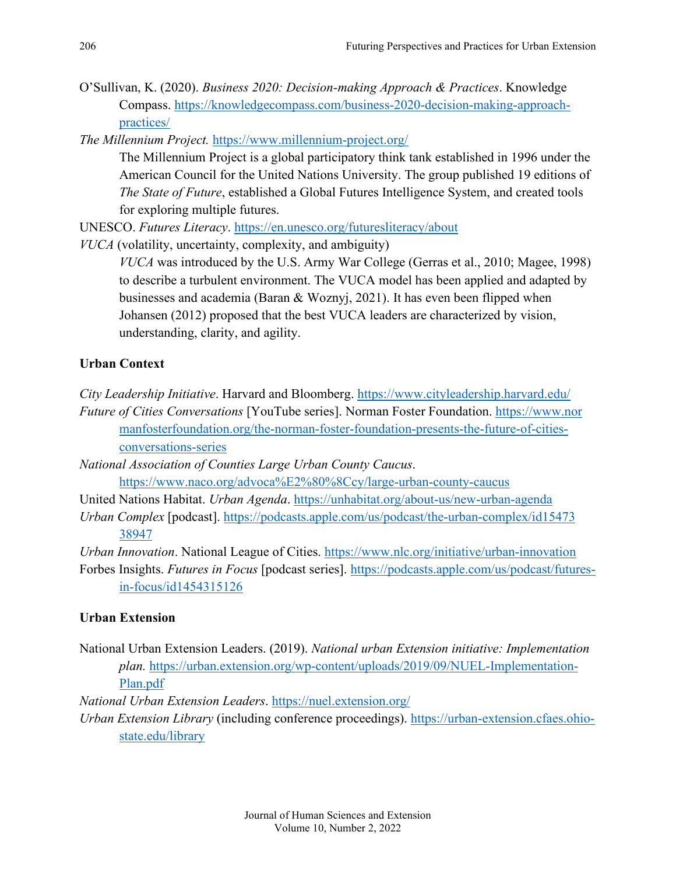O'Sullivan, K. (2020). *Business 2020: Decision-making Approach & Practices*. Knowledge Compass. [https://knowledgecompass.com/business-2020-decision-making-approach](https://knowledgecompass.com/business-2020-decision-making-approach-practices/)[practices/](https://knowledgecompass.com/business-2020-decision-making-approach-practices/)

*The Millennium Project.* <https://www.millennium-project.org/>

The Millennium Project is a global participatory think tank established in 1996 under the American Council for the United Nations University. The group published 19 editions of *The State of Future*, established a Global Futures Intelligence System, and created tools for exploring multiple futures.

UNESCO. *Futures Literacy*.<https://en.unesco.org/futuresliteracy/about>

*VUCA* (volatility, uncertainty, complexity, and ambiguity)

*VUCA* was introduced by the U.S. Army War College (Gerras et al., 2010; Magee, 1998) to describe a turbulent environment. The VUCA model has been applied and adapted by businesses and academia (Baran & Woznyj, 2021). It has even been flipped when Johansen (2012) proposed that the best VUCA leaders are characterized by vision, understanding, clarity, and agility.

#### **Urban Context**

- *City Leadership Initiative*. Harvard and Bloomberg.<https://www.cityleadership.harvard.edu/> *Future of Cities Conversations* [YouTube series]. Norman Foster Foundation. [https://www.nor](https://www.normanfosterfoundation.org/the-norman-foster-foundation-presents-the-future-of-cities-conversations-series) [manfosterfoundation.org/the-norman-foster-foundation-presents-the-future-of-cities](https://www.normanfosterfoundation.org/the-norman-foster-foundation-presents-the-future-of-cities-conversations-series)[conversations-series](https://www.normanfosterfoundation.org/the-norman-foster-foundation-presents-the-future-of-cities-conversations-series)
- *[National Association of Counties Large Urban County Caucus](https://www.naco.org/advocacy/large-urban-county-caucus)*. <https://www.naco.org/advoca%E2%80%8Ccy/large-urban-county-caucus>
- United Nations Habitat. *Urban Agenda*.<https://unhabitat.org/about-us/new-urban-agenda>
- *Urban Complex* [podcast]. [https://podcasts.apple.com/us/podcast/the-urban-complex/id15473](https://podcasts.apple.com/us/podcast/the-urban-complex/id15473%E2%80%8C38947) [38947](https://podcasts.apple.com/us/podcast/the-urban-complex/id15473%E2%80%8C38947)

*Urban Innovation*. National League of Cities.<https://www.nlc.org/initiative/urban-innovation>

Forbes Insights. *Futures in Focus* [podcast series]. [https://podcasts.apple.com/us/podcast/futures](https://podcasts.apple.com/us/podcast/futures-in-focus/id1454315126)[in-focus/id1454315126](https://podcasts.apple.com/us/podcast/futures-in-focus/id1454315126)

#### **Urban Extension**

National Urban Extension Leaders. (2019). *National urban Extension initiative: Implementation plan.* [https://urban.extension.org/wp-content/uploads/2019/09/NUEL-Implementation-](https://urban.extension.org/wp-content/uploads/2019/09/NUEL-Implementation-Plan.pdf)[Plan.pdf](https://urban.extension.org/wp-content/uploads/2019/09/NUEL-Implementation-Plan.pdf)

*National Urban Extension Leaders*. <https://nuel.extension.org/>

*Urban Extension Library* (including conference proceedings). [https://urban-extension.cfaes.ohio](https://urban-extension.cfaes.ohio-state.edu/library)[state.edu/library](https://urban-extension.cfaes.ohio-state.edu/library)